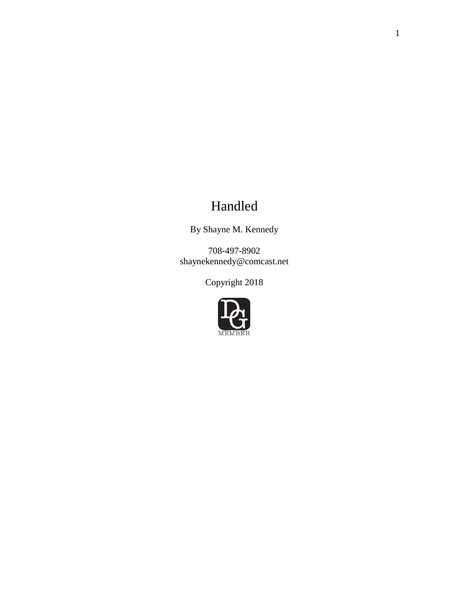# Handled

By Shayne M. Kennedy

708-497-8902 shaynekennedy@comcast.net

Copyright 2018

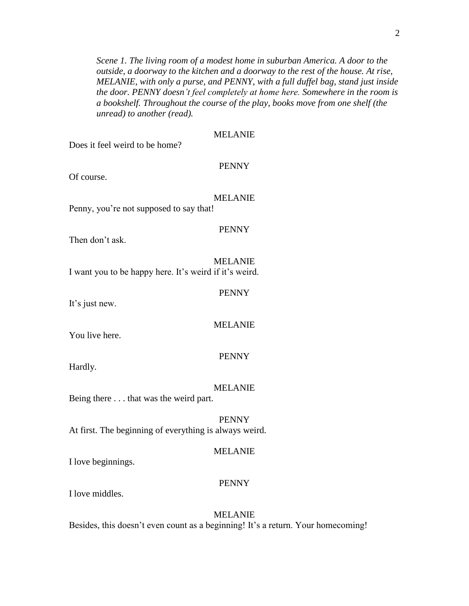*Scene 1. The living room of a modest home in suburban America. A door to the outside, a doorway to the kitchen and a doorway to the rest of the house. At rise, MELANIE, with only a purse, and PENNY, with a full duffel bag, stand just inside the door. PENNY doesn't feel completely at home here. Somewhere in the room is a bookshelf. Throughout the course of the play, books move from one shelf (the unread) to another (read).*

| Does it feel weird to be home?                         | <b>MELANIE</b> |
|--------------------------------------------------------|----------------|
| Of course.                                             | <b>PENNY</b>   |
| Penny, you're not supposed to say that!                | <b>MELANIE</b> |
| Then don't ask.                                        | <b>PENNY</b>   |
| I want you to be happy here. It's weird if it's weird. | <b>MELANIE</b> |
| It's just new.                                         | <b>PENNY</b>   |
| You live here.                                         | <b>MELANIE</b> |
| Hardly.                                                | <b>PENNY</b>   |
| Being there that was the weird part.                   | <b>MELANIE</b> |
| At first. The beginning of everything is always weird. | <b>PENNY</b>   |
| I love beginnings.                                     | <b>MELANIE</b> |

#### PENNY

I love middles.

MELANIE Besides, this doesn't even count as a beginning! It's a return. Your homecoming!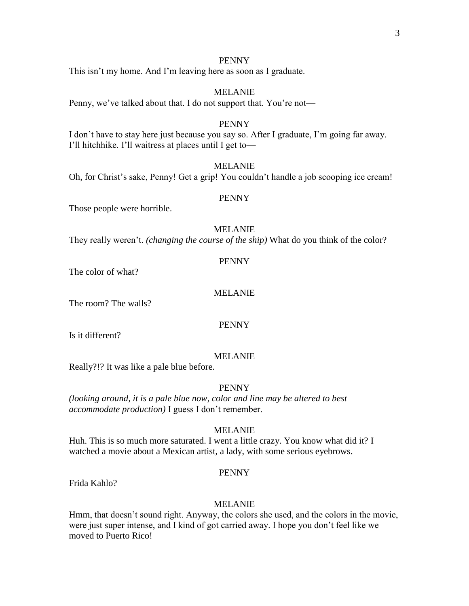This isn't my home. And I'm leaving here as soon as I graduate.

# MELANIE

Penny, we've talked about that. I do not support that. You're not—

#### PENNY

I don't have to stay here just because you say so. After I graduate, I'm going far away. I'll hitchhike. I'll waitress at places until I get to—

#### MELANIE

Oh, for Christ's sake, Penny! Get a grip! You couldn't handle a job scooping ice cream!

#### PENNY

Those people were horrible.

#### MELANIE

They really weren't. *(changing the course of the ship)* What do you think of the color?

#### PENNY

The color of what?

#### MELANIE

The room? The walls?

# PENNY

Is it different?

#### MELANIE

Really?!? It was like a pale blue before.

#### PENNY

*(looking around, it is a pale blue now, color and line may be altered to best accommodate production)* I guess I don't remember.

#### MELANIE

Huh. This is so much more saturated. I went a little crazy. You know what did it? I watched a movie about a Mexican artist, a lady, with some serious eyebrows.

#### PENNY

Frida Kahlo?

#### MELANIE

Hmm, that doesn't sound right. Anyway, the colors she used, and the colors in the movie, were just super intense, and I kind of got carried away. I hope you don't feel like we moved to Puerto Rico!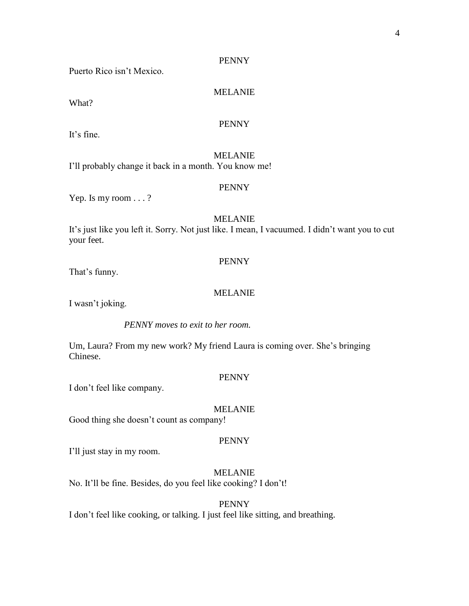Puerto Rico isn't Mexico.

# MELANIE

What?

## PENNY

It's fine.

MELANIE I'll probably change it back in a month. You know me!

#### PENNY

Yep. Is my room . . . ?

#### MELANIE

It's just like you left it. Sorry. Not just like. I mean, I vacuumed. I didn't want you to cut your feet.

#### PENNY

That's funny.

#### MELANIE

I wasn't joking.

*PENNY moves to exit to her room.*

Um, Laura? From my new work? My friend Laura is coming over. She's bringing Chinese.

#### PENNY

I don't feel like company.

#### MELANIE

Good thing she doesn't count as company!

#### PENNY

I'll just stay in my room.

MELANIE No. It'll be fine. Besides, do you feel like cooking? I don't!

PENNY I don't feel like cooking, or talking. I just feel like sitting, and breathing.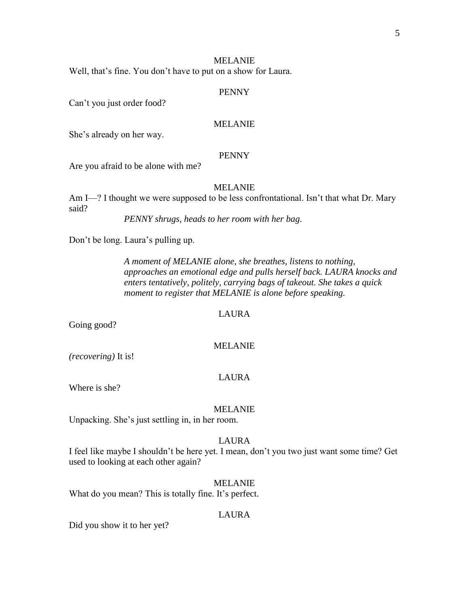Well, that's fine. You don't have to put on a show for Laura.

#### PENNY

Can't you just order food?

#### MELANIE

She's already on her way.

#### PENNY

Are you afraid to be alone with me?

#### MELANIE

Am I—? I thought we were supposed to be less confrontational. Isn't that what Dr. Mary said?

*PENNY shrugs, heads to her room with her bag.*

Don't be long. Laura's pulling up.

*A moment of MELANIE alone, she breathes, listens to nothing, approaches an emotional edge and pulls herself back. LAURA knocks and enters tentatively, politely, carrying bags of takeout. She takes a quick moment to register that MELANIE is alone before speaking.*

#### LAURA

Going good?

#### MELANIE

*(recovering)* It is!

#### LAURA

Where is she?

#### MELANIE

Unpacking. She's just settling in, in her room.

#### LAURA

I feel like maybe I shouldn't be here yet. I mean, don't you two just want some time? Get used to looking at each other again?

#### MELANIE

What do you mean? This is totally fine. It's perfect.

#### LAURA

Did you show it to her yet?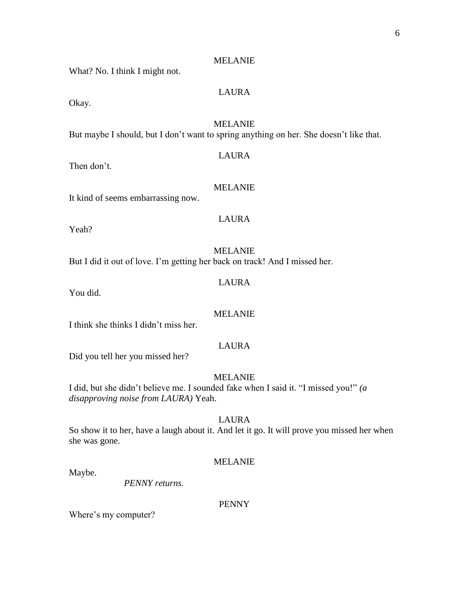What? No. I think I might not.

# LAURA

Okay.

# MELANIE

But maybe I should, but I don't want to spring anything on her. She doesn't like that.

# LAURA

Then don't.

#### MELANIE

It kind of seems embarrassing now.

# LAURA

Yeah?

# MELANIE

But I did it out of love. I'm getting her back on track! And I missed her.

# LAURA

You did.

#### MELANIE

I think she thinks I didn't miss her.

# LAURA

Did you tell her you missed her?

#### MELANIE

I did, but she didn't believe me. I sounded fake when I said it. "I missed you!" *(a disapproving noise from LAURA)* Yeah.

# LAURA

So show it to her, have a laugh about it. And let it go. It will prove you missed her when she was gone.

#### MELANIE

Maybe.

*PENNY returns.*

#### PENNY

Where's my computer?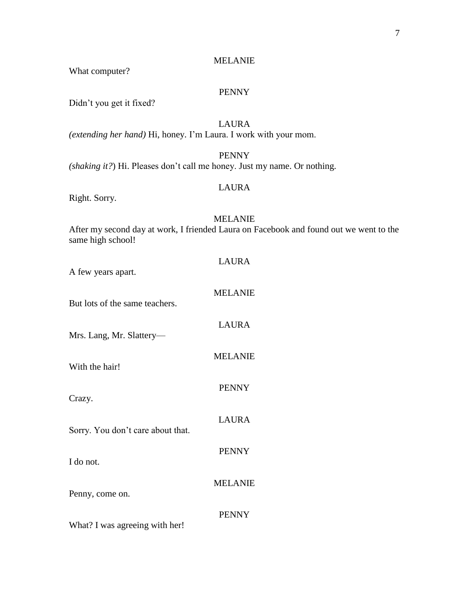What computer?

# PENNY

Didn't you get it fixed?

LAURA *(extending her hand)* Hi, honey. I'm Laura. I work with your mom.

## PENNY

*(shaking it?*) Hi. Pleases don't call me honey. Just my name. Or nothing.

# LAURA

Right. Sorry.

# MELANIE

After my second day at work, I friended Laura on Facebook and found out we went to the same high school!

| LAURA          |
|----------------|
| <b>MELANIE</b> |
| <b>LAURA</b>   |
| <b>MELANIE</b> |
| <b>PENNY</b>   |
| LAURA          |
| <b>PENNY</b>   |
| <b>MELANIE</b> |
| <b>PENNY</b>   |
|                |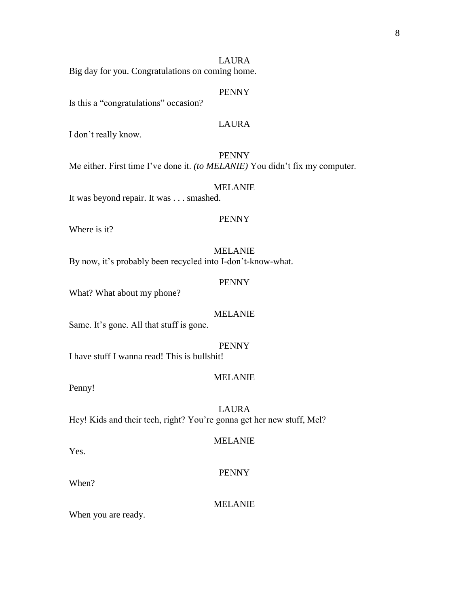## LAURA

Big day for you. Congratulations on coming home.

#### PENNY

Is this a "congratulations" occasion?

# LAURA

I don't really know.

PENNY Me either. First time I've done it. *(to MELANIE)* You didn't fix my computer.

#### MELANIE It was beyond repair. It was . . . smashed.

## PENNY

Where is it?

# MELANIE

By now, it's probably been recycled into I-don't-know-what.

#### PENNY

What? What about my phone?

#### MELANIE

Same. It's gone. All that stuff is gone.

#### PENNY

I have stuff I wanna read! This is bullshit!

#### MELANIE

Penny!

LAURA Hey! Kids and their tech, right? You're gonna get her new stuff, Mel?

#### MELANIE

Yes.

# PENNY

When?

#### MELANIE

When you are ready.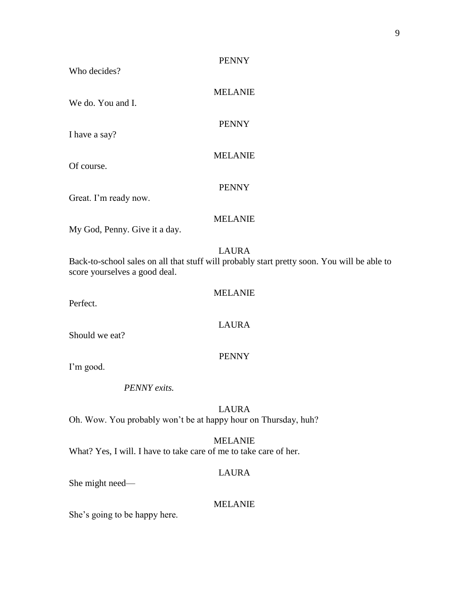| <b>PENNY</b><br>Who decides?                                                                                                                 |
|----------------------------------------------------------------------------------------------------------------------------------------------|
| <b>MELANIE</b><br>We do. You and I.                                                                                                          |
| <b>PENNY</b><br>I have a say?                                                                                                                |
| <b>MELANIE</b><br>Of course.                                                                                                                 |
| <b>PENNY</b><br>Great. I'm ready now.                                                                                                        |
| <b>MELANIE</b><br>My God, Penny. Give it a day.                                                                                              |
| <b>LAURA</b><br>Back-to-school sales on all that stuff will probably start pretty soon. You will be able to<br>score yourselves a good deal. |
| <b>MELANIE</b><br>Perfect.                                                                                                                   |
| <b>LAURA</b><br>Should we eat?                                                                                                               |
| <b>PENNY</b><br>I'm good.                                                                                                                    |
| <b>PENNY</b> exits                                                                                                                           |
| <b>LAURA</b><br>Oh. Wow. You probably won't be at happy hour on Thursday, huh?                                                               |
| <b>MELANIE</b><br>What? Yes, I will. I have to take care of me to take care of her.                                                          |
| <b>LAURA</b><br>She might need-                                                                                                              |
| <b>MELANIE</b><br>She's going to be happy here.                                                                                              |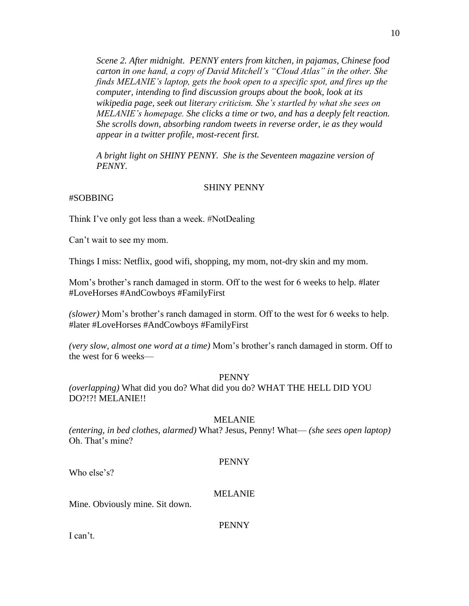*Scene 2. After midnight. PENNY enters from kitchen, in pajamas, Chinese food carton in one hand, a copy of David Mitchell's "Cloud Atlas" in the other. She finds MELANIE's laptop, gets the book open to a specific spot, and fires up the computer, intending to find discussion groups about the book, look at its wikipedia page, seek out literary criticism. She's startled by what she sees on MELANIE's homepage. She clicks a time or two, and has a deeply felt reaction. She scrolls down, absorbing random tweets in reverse order, ie as they would appear in a twitter profile, most-recent first.*

*A bright light on SHINY PENNY. She is the Seventeen magazine version of PENNY.*

#### SHINY PENNY

# #SOBBING

Think I've only got less than a week. #NotDealing

Can't wait to see my mom.

Things I miss: Netflix, good wifi, shopping, my mom, not-dry skin and my mom.

Mom's brother's ranch damaged in storm. Off to the west for 6 weeks to help. #later #LoveHorses #AndCowboys #FamilyFirst

*(slower)* Mom's brother's ranch damaged in storm. Off to the west for 6 weeks to help. #later #LoveHorses #AndCowboys #FamilyFirst

*(very slow, almost one word at a time)* Mom's brother's ranch damaged in storm. Off to the west for 6 weeks—

#### PENNY

*(overlapping)* What did you do? What did you do? WHAT THE HELL DID YOU DO?!?! MELANIE!!

#### MELANIE

*(entering, in bed clothes, alarmed)* What? Jesus, Penny! What— *(she sees open laptop)*  Oh. That's mine?

#### PENNY

Who else's?

#### MELANIE

Mine. Obviously mine. Sit down.

PENNY

I can't.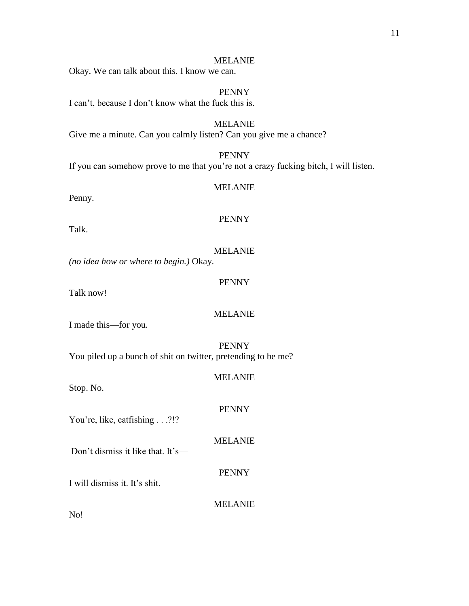Okay. We can talk about this. I know we can.

PENNY I can't, because I don't know what the fuck this is.

MELANIE Give me a minute. Can you calmly listen? Can you give me a chance?

PENNY If you can somehow prove to me that you're not a crazy fucking bitch, I will listen.

Penny.

Talk.

# *(no idea how or where to begin.)* Okay.

Talk now!

I made this—for you.

PENNY You piled up a bunch of shit on twitter, pretending to be me?

Stop. No.

You're, like, catfishing . . .?!?

MELANIE

Don't dismiss it like that. It's—

PENNY

I will dismiss it. It's shit.

MELANIE

No!

# PENNY

MELANIE

MELANIE

# PENNY

MELANIE

MELANIE

PENNY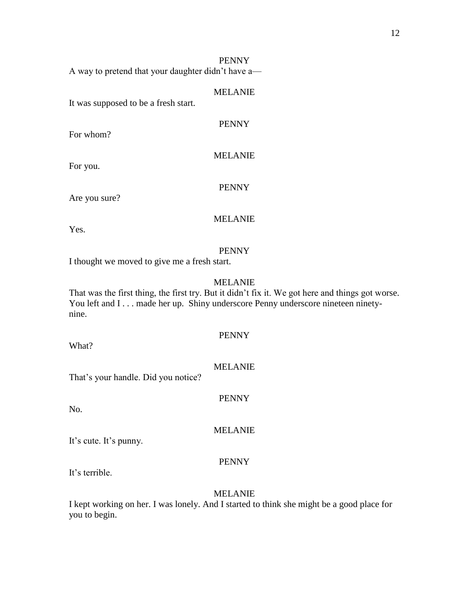A way to pretend that your daughter didn't have a—

#### MELANIE

It was supposed to be a fresh start.

For whom?

For you.

Are you sure?

# MELANIE

PENNY

Yes.

#### PENNY

I thought we moved to give me a fresh start.

# MELANIE

That was the first thing, the first try. But it didn't fix it. We got here and things got worse. You left and I . . . made her up. Shiny underscore Penny underscore nineteen ninetynine.

What?

# MELANIE

PENNY

PENNY

That's your handle. Did you notice?

No.

It's cute. It's punny.

#### PENNY

MELANIE

It's terrible.

#### MELANIE

I kept working on her. I was lonely. And I started to think she might be a good place for you to begin.

PENNY

MELANIE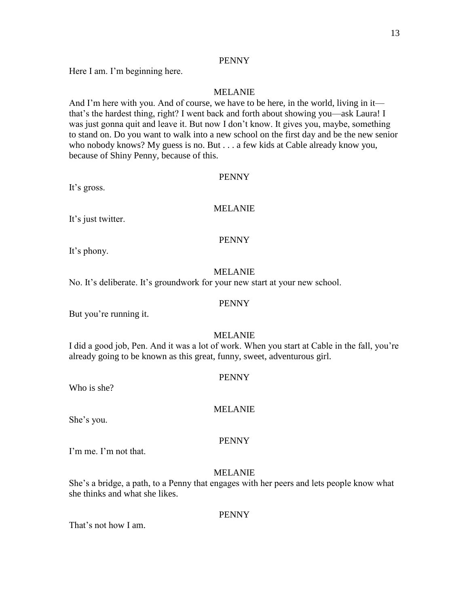Here I am. I'm beginning here.

## MELANIE

And I'm here with you. And of course, we have to be here, in the world, living in it that's the hardest thing, right? I went back and forth about showing you—ask Laura! I was just gonna quit and leave it. But now I don't know. It gives you, maybe, something to stand on. Do you want to walk into a new school on the first day and be the new senior who nobody knows? My guess is no. But . . . a few kids at Cable already know you, because of Shiny Penny, because of this.

#### PENNY

It's gross.

#### MELANIE

It's just twitter.

### PENNY

It's phony.

#### MELANIE

No. It's deliberate. It's groundwork for your new start at your new school.

#### PENNY

But you're running it.

#### MELANIE

I did a good job, Pen. And it was a lot of work. When you start at Cable in the fall, you're already going to be known as this great, funny, sweet, adventurous girl.

#### PENNY

Who is she?

She's you.

#### PENNY

MELANIE

I'm me. I'm not that.

### MELANIE

She's a bridge, a path, to a Penny that engages with her peers and lets people know what she thinks and what she likes.

#### PENNY

That's not how I am.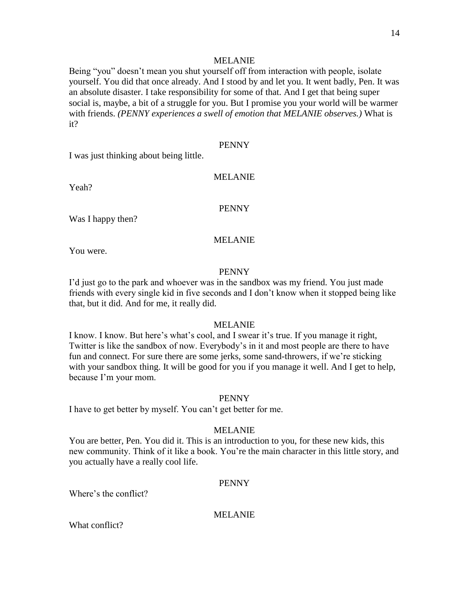Being "you" doesn't mean you shut yourself off from interaction with people, isolate yourself. You did that once already. And I stood by and let you. It went badly, Pen. It was an absolute disaster. I take responsibility for some of that. And I get that being super social is, maybe, a bit of a struggle for you. But I promise you your world will be warmer with friends. *(PENNY experiences a swell of emotion that MELANIE observes.)* What is it?

## PENNY

I was just thinking about being little.

## MELANIE

Yeah?

#### PENNY

Was I happy then?

### MELANIE

You were.

#### PENNY

I'd just go to the park and whoever was in the sandbox was my friend. You just made friends with every single kid in five seconds and I don't know when it stopped being like that, but it did. And for me, it really did.

#### MELANIE

I know. I know. But here's what's cool, and I swear it's true. If you manage it right, Twitter is like the sandbox of now. Everybody's in it and most people are there to have fun and connect. For sure there are some jerks, some sand-throwers, if we're sticking with your sandbox thing. It will be good for you if you manage it well. And I get to help, because I'm your mom.

#### PENNY

I have to get better by myself. You can't get better for me.

#### MELANIE

You are better, Pen. You did it. This is an introduction to you, for these new kids, this new community. Think of it like a book. You're the main character in this little story, and you actually have a really cool life.

#### PENNY

Where's the conflict?

## MELANIE

What conflict?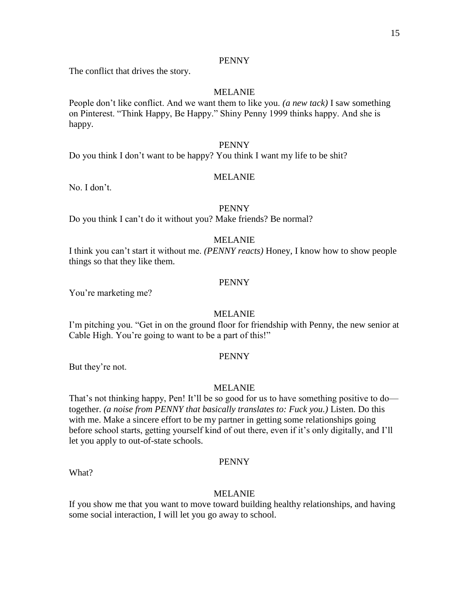The conflict that drives the story.

# MELANIE

People don't like conflict. And we want them to like you. *(a new tack)* I saw something on Pinterest. "Think Happy, Be Happy." Shiny Penny 1999 thinks happy. And she is happy.

## PENNY

Do you think I don't want to be happy? You think I want my life to be shit?

# MELANIE

No. I don't.

# PENNY

Do you think I can't do it without you? Make friends? Be normal?

# MELANIE

I think you can't start it without me. *(PENNY reacts)* Honey, I know how to show people things so that they like them.

# PENNY

You're marketing me?

# MELANIE

I'm pitching you. "Get in on the ground floor for friendship with Penny, the new senior at Cable High. You're going to want to be a part of this!"

#### PENNY

But they're not.

What?

# MELANIE

That's not thinking happy, Pen! It'll be so good for us to have something positive to do together. *(a noise from PENNY that basically translates to: Fuck you.)* Listen. Do this with me. Make a sincere effort to be my partner in getting some relationships going before school starts, getting yourself kind of out there, even if it's only digitally, and I'll let you apply to out-of-state schools.

#### PENNY

# MELANIE

If you show me that you want to move toward building healthy relationships, and having some social interaction, I will let you go away to school.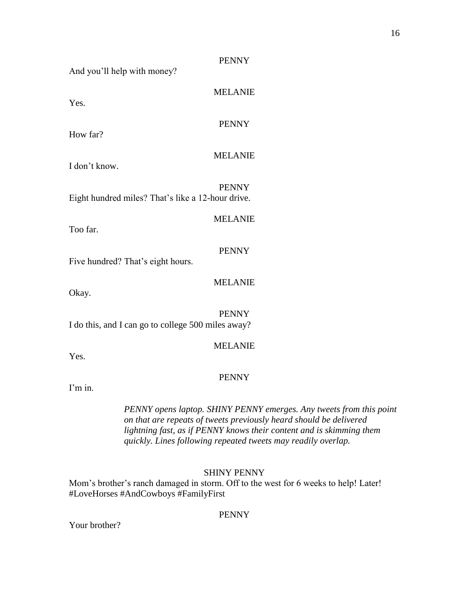| And you'll help with money?                        | <b>PENNY</b>   |
|----------------------------------------------------|----------------|
| Yes.                                               | <b>MELANIE</b> |
| How far?                                           | <b>PENNY</b>   |
| I don't know.                                      | <b>MELANIE</b> |
| Eight hundred miles? That's like a 12-hour drive.  | <b>PENNY</b>   |
| Too far.                                           | <b>MELANIE</b> |
| Five hundred? That's eight hours.                  | <b>PENNY</b>   |
| Okay.                                              | <b>MELANIE</b> |
| I do this, and I can go to college 500 miles away? | <b>PENNY</b>   |
|                                                    | <b>MELANIE</b> |

Yes.

# PENNY

I'm in.

*PENNY opens laptop. SHINY PENNY emerges. Any tweets from this point on that are repeats of tweets previously heard should be delivered lightning fast, as if PENNY knows their content and is skimming them quickly. Lines following repeated tweets may readily overlap.*

SHINY PENNY

Mom's brother's ranch damaged in storm. Off to the west for 6 weeks to help! Later! #LoveHorses #AndCowboys #FamilyFirst

PENNY

Your brother?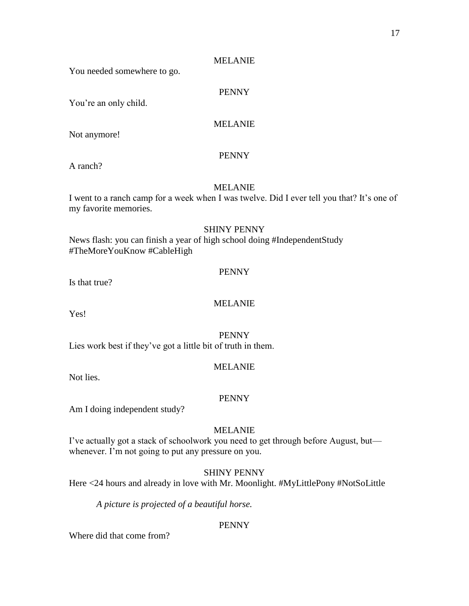You needed somewhere to go.

# PENNY

You're an only child.

# MELANIE

Not anymore!

# PENNY

A ranch?

# MELANIE

I went to a ranch camp for a week when I was twelve. Did I ever tell you that? It's one of my favorite memories.

# SHINY PENNY

News flash: you can finish a year of high school doing #IndependentStudy #TheMoreYouKnow #CableHigh

# PENNY

Is that true?

# MELANIE

Yes!

#### PENNY

Lies work best if they've got a little bit of truth in them.

# MELANIE

Not lies.

# PENNY

Am I doing independent study?

# MELANIE

I've actually got a stack of schoolwork you need to get through before August, but whenever. I'm not going to put any pressure on you.

# SHINY PENNY

Here <24 hours and already in love with Mr. Moonlight. #MyLittlePony #NotSoLittle

*A picture is projected of a beautiful horse.*

# PENNY

Where did that come from?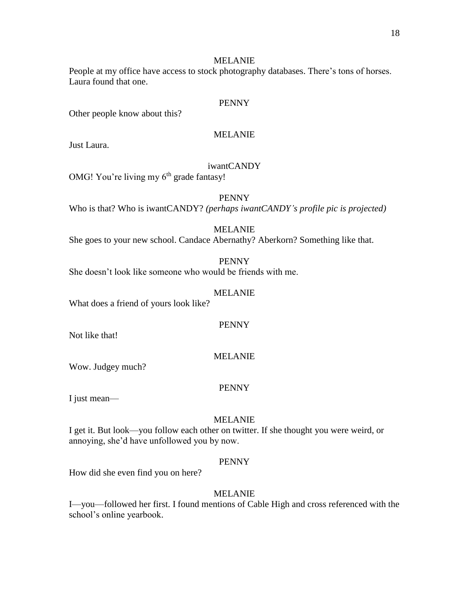People at my office have access to stock photography databases. There's tons of horses. Laura found that one.

#### PENNY

Other people know about this?

# MELANIE

Just Laura.

# iwantCANDY

OMG! You're living my  $6<sup>th</sup>$  grade fantasy!

## PENNY

Who is that? Who is iwantCANDY? *(perhaps iwantCANDY's profile pic is projected)*

MELANIE

She goes to your new school. Candace Abernathy? Aberkorn? Something like that.

PENNY

She doesn't look like someone who would be friends with me.

#### MELANIE

What does a friend of yours look like?

## PENNY

Not like that!

#### MELANIE

Wow. Judgey much?

#### PENNY

I just mean—

#### MELANIE

I get it. But look—you follow each other on twitter. If she thought you were weird, or annoying, she'd have unfollowed you by now.

#### PENNY

How did she even find you on here?

# MELANIE

I—you—followed her first. I found mentions of Cable High and cross referenced with the school's online yearbook.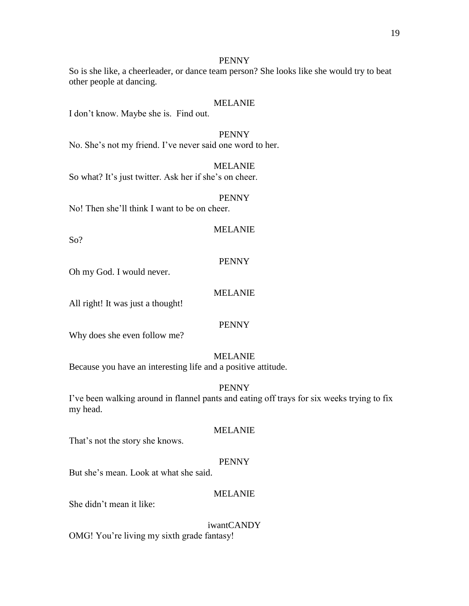So is she like, a cheerleader, or dance team person? She looks like she would try to beat other people at dancing.

#### MELANIE

I don't know. Maybe she is. Find out.

PENNY No. She's not my friend. I've never said one word to her.

MELANIE So what? It's just twitter. Ask her if she's on cheer.

#### PENNY

No! Then she'll think I want to be on cheer.

#### MELANIE

So?

# PENNY

Oh my God. I would never.

#### MELANIE

All right! It was just a thought!

## PENNY

Why does she even follow me?

#### MELANIE

Because you have an interesting life and a positive attitude.

### PENNY

I've been walking around in flannel pants and eating off trays for six weeks trying to fix my head.

#### MELANIE

That's not the story she knows.

#### PENNY

But she's mean. Look at what she said.

#### MELANIE

She didn't mean it like:

iwantCANDY OMG! You're living my sixth grade fantasy!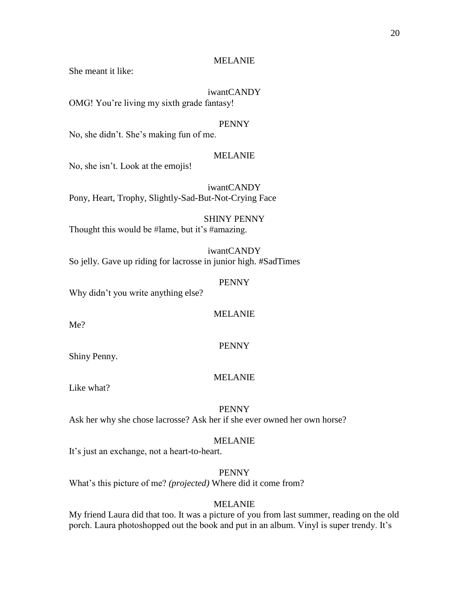She meant it like:

# iwantCANDY

OMG! You're living my sixth grade fantasy!

# PENNY

No, she didn't. She's making fun of me.

## MELANIE

No, she isn't. Look at the emojis!

iwantCANDY Pony, Heart, Trophy, Slightly-Sad-But-Not-Crying Face

SHINY PENNY Thought this would be #lame, but it's #amazing.

iwantCANDY So jelly. Gave up riding for lacrosse in junior high. #SadTimes

#### PENNY

Why didn't you write anything else?

Me?

MELANIE

PENNY

# Shiny Penny.

# MELANIE

Like what?

# PENNY

Ask her why she chose lacrosse? Ask her if she ever owned her own horse?

#### MELANIE

It's just an exchange, not a heart-to-heart.

PENNY

What's this picture of me? *(projected)* Where did it come from?

# MELANIE

My friend Laura did that too. It was a picture of you from last summer, reading on the old porch. Laura photoshopped out the book and put in an album. Vinyl is super trendy. It's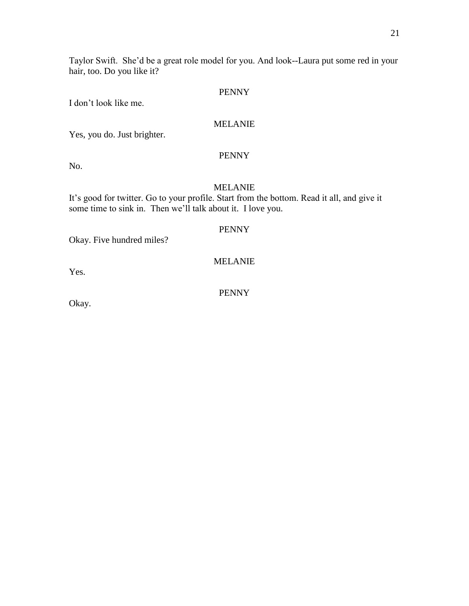I don't look like me.

# MELANIE

Yes, you do. Just brighter.

# PENNY

No.

# MELANIE

It's good for twitter. Go to your profile. Start from the bottom. Read it all, and give it some time to sink in. Then we'll talk about it. I love you.

# PENNY

Okay. Five hundred miles?

MELANIE

Yes.

PENNY

Okay.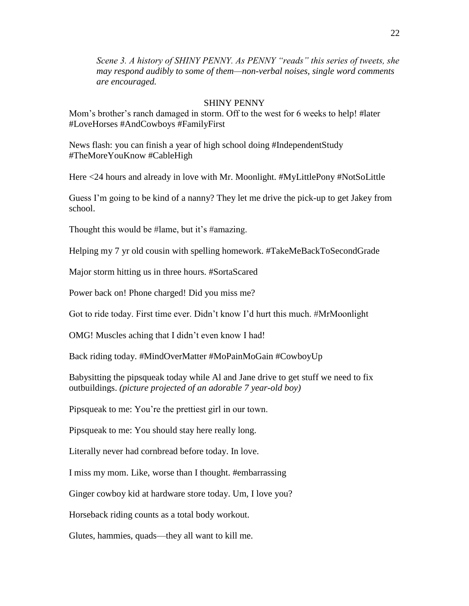*Scene 3. A history of SHINY PENNY. As PENNY "reads" this series of tweets, she may respond audibly to some of them—non-verbal noises, single word comments are encouraged.*

#### SHINY PENNY

Mom's brother's ranch damaged in storm. Off to the west for 6 weeks to help! #later #LoveHorses #AndCowboys #FamilyFirst

News flash: you can finish a year of high school doing #IndependentStudy #TheMoreYouKnow #CableHigh

Here <24 hours and already in love with Mr. Moonlight. #MyLittlePony #NotSoLittle

Guess I'm going to be kind of a nanny? They let me drive the pick-up to get Jakey from school.

Thought this would be #lame, but it's #amazing.

Helping my 7 yr old cousin with spelling homework. #TakeMeBackToSecondGrade

Major storm hitting us in three hours. #SortaScared

Power back on! Phone charged! Did you miss me?

Got to ride today. First time ever. Didn't know I'd hurt this much. #MrMoonlight

OMG! Muscles aching that I didn't even know I had!

Back riding today. #MindOverMatter #MoPainMoGain #CowboyUp

Babysitting the pipsqueak today while Al and Jane drive to get stuff we need to fix outbuildings. *(picture projected of an adorable 7 year-old boy)*

Pipsqueak to me: You're the prettiest girl in our town.

Pipsqueak to me: You should stay here really long.

Literally never had cornbread before today. In love.

I miss my mom. Like, worse than I thought. #embarrassing

Ginger cowboy kid at hardware store today. Um, I love you?

Horseback riding counts as a total body workout.

Glutes, hammies, quads—they all want to kill me.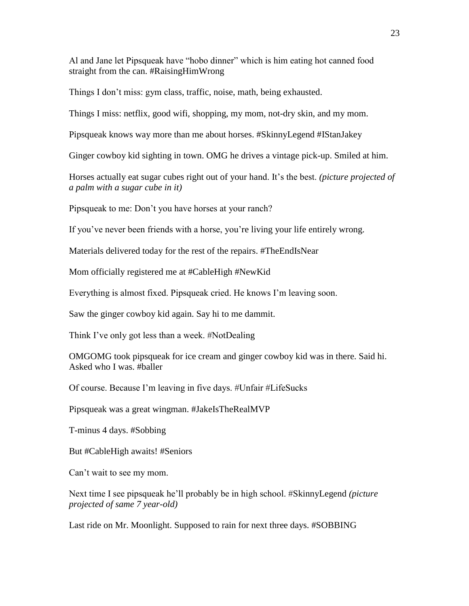Al and Jane let Pipsqueak have "hobo dinner" which is him eating hot canned food straight from the can. #RaisingHimWrong

Things I don't miss: gym class, traffic, noise, math, being exhausted.

Things I miss: netflix, good wifi, shopping, my mom, not-dry skin, and my mom.

Pipsqueak knows way more than me about horses. #SkinnyLegend #IStanJakey

Ginger cowboy kid sighting in town. OMG he drives a vintage pick-up. Smiled at him.

Horses actually eat sugar cubes right out of your hand. It's the best. *(picture projected of a palm with a sugar cube in it)*

Pipsqueak to me: Don't you have horses at your ranch?

If you've never been friends with a horse, you're living your life entirely wrong.

Materials delivered today for the rest of the repairs. #TheEndIsNear

Mom officially registered me at #CableHigh #NewKid

Everything is almost fixed. Pipsqueak cried. He knows I'm leaving soon.

Saw the ginger cowboy kid again. Say hi to me dammit.

Think I've only got less than a week. #NotDealing

OMGOMG took pipsqueak for ice cream and ginger cowboy kid was in there. Said hi. Asked who I was. #baller

Of course. Because I'm leaving in five days. #Unfair #LifeSucks

Pipsqueak was a great wingman. #JakeIsTheRealMVP

T-minus 4 days. #Sobbing

But #CableHigh awaits! #Seniors

Can't wait to see my mom.

Next time I see pipsqueak he'll probably be in high school. #SkinnyLegend *(picture projected of same 7 year-old)*

Last ride on Mr. Moonlight. Supposed to rain for next three days. #SOBBING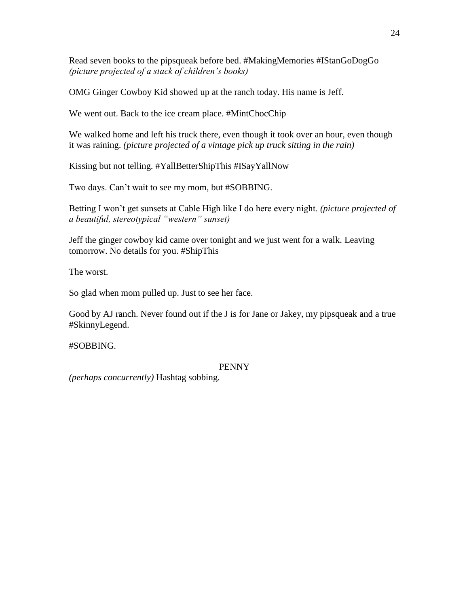Read seven books to the pipsqueak before bed. #MakingMemories #IStanGoDogGo *(picture projected of a stack of children's books)*

OMG Ginger Cowboy Kid showed up at the ranch today. His name is Jeff.

We went out. Back to the ice cream place. #MintChocChip

We walked home and left his truck there, even though it took over an hour, even though it was raining. *(picture projected of a vintage pick up truck sitting in the rain)*

Kissing but not telling. #YallBetterShipThis #ISayYallNow

Two days. Can't wait to see my mom, but #SOBBING.

Betting I won't get sunsets at Cable High like I do here every night. *(picture projected of a beautiful, stereotypical "western" sunset)*

Jeff the ginger cowboy kid came over tonight and we just went for a walk. Leaving tomorrow. No details for you. #ShipThis

The worst.

So glad when mom pulled up. Just to see her face.

Good by AJ ranch. Never found out if the J is for Jane or Jakey, my pipsqueak and a true #SkinnyLegend.

#SOBBING.

# PENNY

*(perhaps concurrently)* Hashtag sobbing.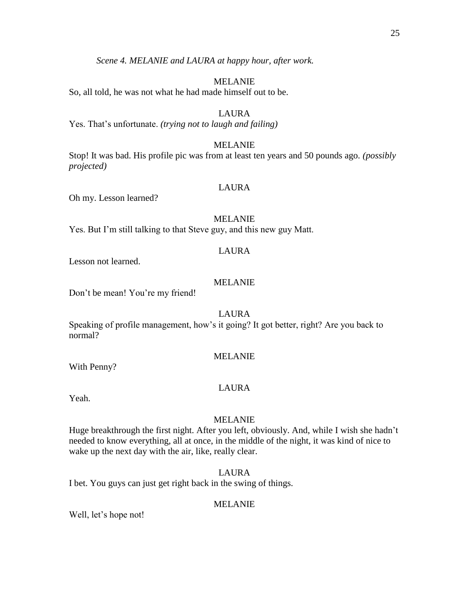25

*Scene 4. MELANIE and LAURA at happy hour, after work.*

# MELANIE

So, all told, he was not what he had made himself out to be.

# LAURA

Yes. That's unfortunate. *(trying not to laugh and failing)*

# MELANIE

Stop! It was bad. His profile pic was from at least ten years and 50 pounds ago. *(possibly projected)* 

# LAURA

Oh my. Lesson learned?

# MELANIE

Yes. But I'm still talking to that Steve guy, and this new guy Matt.

# LAURA

Lesson not learned.

# MELANIE

Don't be mean! You're my friend!

LAURA

Speaking of profile management, how's it going? It got better, right? Are you back to normal?

# MELANIE

With Penny?

# LAURA

Yeah.

# MELANIE

Huge breakthrough the first night. After you left, obviously. And, while I wish she hadn't needed to know everything, all at once, in the middle of the night, it was kind of nice to wake up the next day with the air, like, really clear.

# LAURA

I bet. You guys can just get right back in the swing of things.

# MELANIE

Well, let's hope not!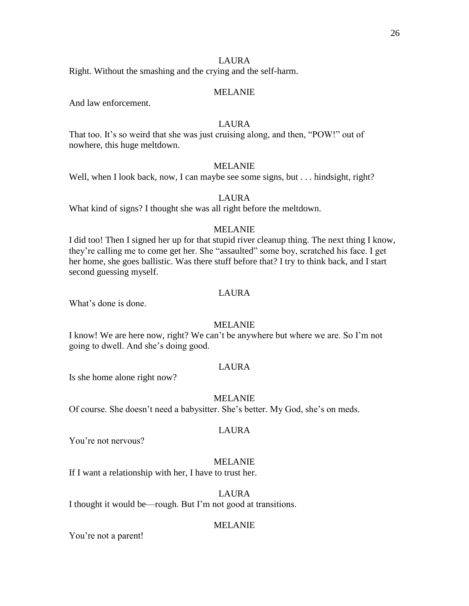# LAURA

Right. Without the smashing and the crying and the self-harm.

#### MELANIE

And law enforcement.

# LAURA

That too. It's so weird that she was just cruising along, and then, "POW!" out of nowhere, this huge meltdown.

# MELANIE

Well, when I look back, now, I can maybe see some signs, but . . . hindsight, right?

# LAURA

What kind of signs? I thought she was all right before the meltdown.

# MELANIE

I did too! Then I signed her up for that stupid river cleanup thing. The next thing I know, they're calling me to come get her. She "assaulted" some boy, scratched his face. I get her home, she goes ballistic. Was there stuff before that? I try to think back, and I start second guessing myself.

#### LAURA

What's done is done.

#### MELANIE

I know! We are here now, right? We can't be anywhere but where we are. So I'm not going to dwell. And she's doing good.

#### LAURA

Is she home alone right now?

#### MELANIE

Of course. She doesn't need a babysitter. She's better. My God, she's on meds.

#### LAURA

You're not nervous?

# MELANIE

If I want a relationship with her, I have to trust her.

# LAURA

I thought it would be—rough. But I'm not good at transitions.

#### MELANIE

You're not a parent!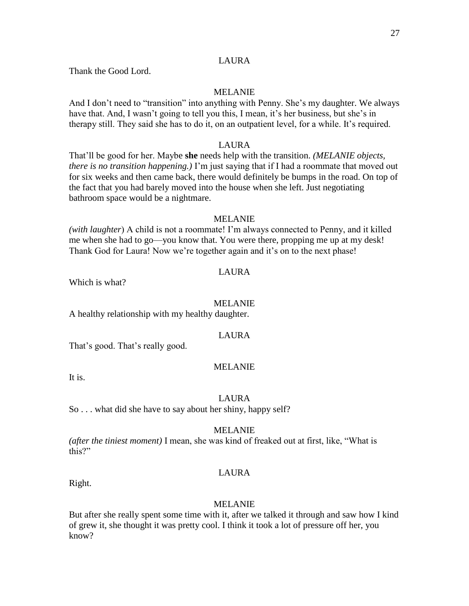Thank the Good Lord.

# MELANIE

And I don't need to "transition" into anything with Penny. She's my daughter. We always have that. And, I wasn't going to tell you this, I mean, it's her business, but she's in therapy still. They said she has to do it, on an outpatient level, for a while. It's required.

# LAURA

That'll be good for her. Maybe **she** needs help with the transition. *(MELANIE objects, there is no transition happening.)* I'm just saying that if I had a roommate that moved out for six weeks and then came back, there would definitely be bumps in the road. On top of the fact that you had barely moved into the house when she left. Just negotiating bathroom space would be a nightmare.

#### MELANIE

*(with laughter*) A child is not a roommate! I'm always connected to Penny, and it killed me when she had to go—you know that. You were there, propping me up at my desk! Thank God for Laura! Now we're together again and it's on to the next phase!

# LAURA

Which is what?

#### MELANIE

A healthy relationship with my healthy daughter.

#### LAURA

That's good. That's really good.

# MELANIE

It is.

#### LAURA

So . . . what did she have to say about her shiny, happy self?

# MELANIE

*(after the tiniest moment)* I mean, she was kind of freaked out at first, like, "What is this?"

# LAURA

Right.

#### MELANIE

But after she really spent some time with it, after we talked it through and saw how I kind of grew it, she thought it was pretty cool. I think it took a lot of pressure off her, you know?

# LAURA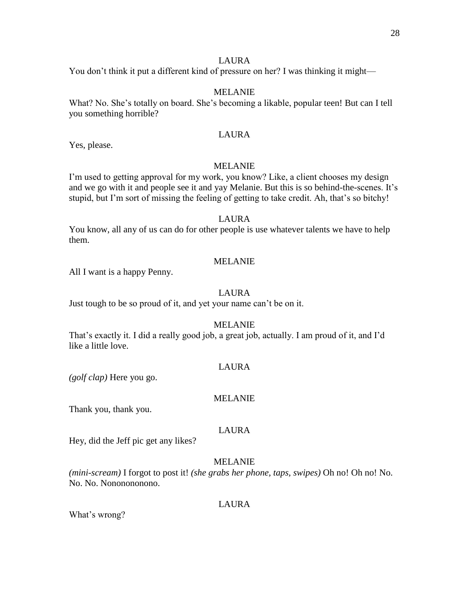# LAURA

You don't think it put a different kind of pressure on her? I was thinking it might—

# MELANIE

What? No. She's totally on board. She's becoming a likable, popular teen! But can I tell you something horrible?

# LAURA

Yes, please.

# MELANIE

I'm used to getting approval for my work, you know? Like, a client chooses my design and we go with it and people see it and yay Melanie. But this is so behind-the-scenes. It's stupid, but I'm sort of missing the feeling of getting to take credit. Ah, that's so bitchy!

#### LAURA

You know, all any of us can do for other people is use whatever talents we have to help them.

# MELANIE

All I want is a happy Penny.

#### LAURA

Just tough to be so proud of it, and yet your name can't be on it.

#### MELANIE

That's exactly it. I did a really good job, a great job, actually. I am proud of it, and I'd like a little love.

#### LAURA

*(golf clap)* Here you go.

#### MELANIE

Thank you, thank you.

# LAURA

Hey, did the Jeff pic get any likes?

# MELANIE

*(mini-scream)* I forgot to post it! *(she grabs her phone, taps, swipes)* Oh no! Oh no! No. No. No. Nononononono.

#### LAURA

What's wrong?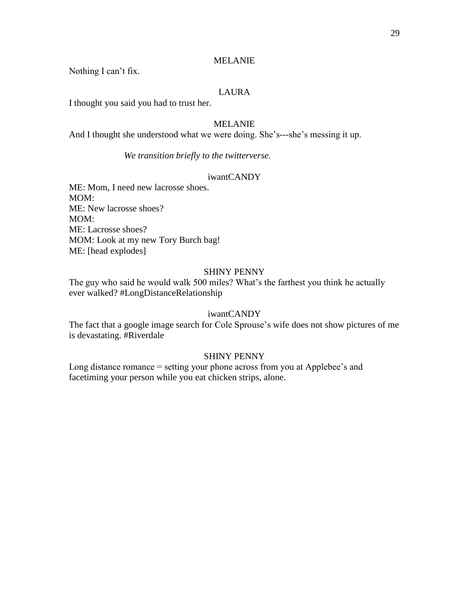Nothing I can't fix.

# LAURA

I thought you said you had to trust her.

## MELANIE

And I thought she understood what we were doing. She's---she's messing it up.

*We transition briefly to the twitterverse.*

# iwantCANDY

ME: Mom, I need new lacrosse shoes. MOM: ME: New lacrosse shoes? MOM: ME: Lacrosse shoes? MOM: Look at my new Tory Burch bag! ME: [head explodes]

#### SHINY PENNY

The guy who said he would walk 500 miles? What's the farthest you think he actually ever walked? #LongDistanceRelationship

## iwantCANDY

The fact that a google image search for Cole Sprouse's wife does not show pictures of me is devastating. #Riverdale

#### SHINY PENNY

Long distance romance = setting your phone across from you at Applebee's and facetiming your person while you eat chicken strips, alone.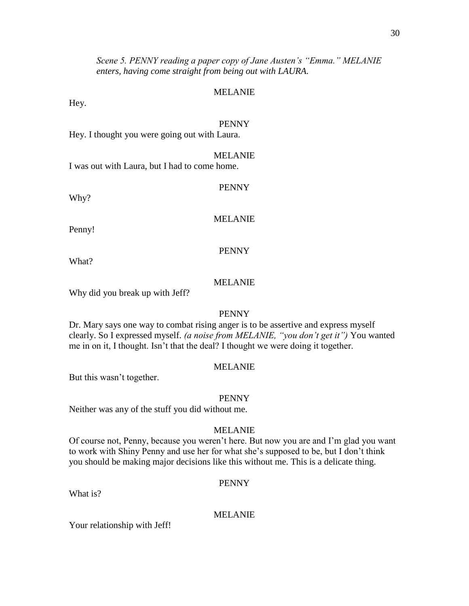30

*Scene 5. PENNY reading a paper copy of Jane Austen's "Emma." MELANIE enters, having come straight from being out with LAURA.*

#### MELANIE

Hey.

#### PENNY

Hey. I thought you were going out with Laura.

#### MELANIE

PENNY

I was out with Laura, but I had to come home.

Why?

MELANIE

Penny!

#### PENNY

What?

# MELANIE

Why did you break up with Jeff?

#### PENNY

Dr. Mary says one way to combat rising anger is to be assertive and express myself clearly. So I expressed myself. *(a noise from MELANIE, "you don't get it")* You wanted me in on it, I thought. Isn't that the deal? I thought we were doing it together.

#### MELANIE

But this wasn't together.

#### PENNY

Neither was any of the stuff you did without me.

#### MELANIE

Of course not, Penny, because you weren't here. But now you are and I'm glad you want to work with Shiny Penny and use her for what she's supposed to be, but I don't think you should be making major decisions like this without me. This is a delicate thing.

#### PENNY

What is?

#### MELANIE

Your relationship with Jeff!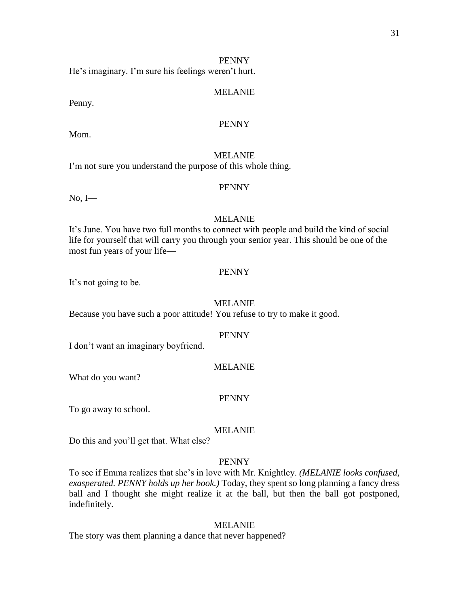He's imaginary. I'm sure his feelings weren't hurt.

#### MELANIE

Penny.

# PENNY

Mom.

# MELANIE

I'm not sure you understand the purpose of this whole thing.

#### PENNY

No, I—

#### MELANIE

It's June. You have two full months to connect with people and build the kind of social life for yourself that will carry you through your senior year. This should be one of the most fun years of your life—

#### PENNY

It's not going to be.

#### MELANIE

Because you have such a poor attitude! You refuse to try to make it good.

#### PENNY

I don't want an imaginary boyfriend.

# MELANIE

What do you want?

#### PENNY

To go away to school.

#### MELANIE

Do this and you'll get that. What else?

#### PENNY

To see if Emma realizes that she's in love with Mr. Knightley. *(MELANIE looks confused, exasperated. PENNY holds up her book.)* Today, they spent so long planning a fancy dress ball and I thought she might realize it at the ball, but then the ball got postponed, indefinitely.

#### MELANIE

The story was them planning a dance that never happened?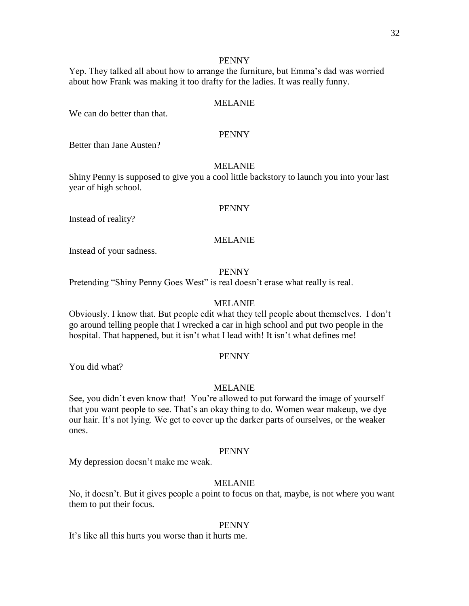Yep. They talked all about how to arrange the furniture, but Emma's dad was worried about how Frank was making it too drafty for the ladies. It was really funny.

#### MELANIE

We can do better than that.

#### PENNY

Better than Jane Austen?

#### MELANIE

Shiny Penny is supposed to give you a cool little backstory to launch you into your last year of high school.

#### PENNY

Instead of reality?

#### MELANIE

Instead of your sadness.

#### PENNY

Pretending "Shiny Penny Goes West" is real doesn't erase what really is real.

#### MELANIE

Obviously. I know that. But people edit what they tell people about themselves. I don't go around telling people that I wrecked a car in high school and put two people in the hospital. That happened, but it isn't what I lead with! It isn't what defines me!

#### PENNY

You did what?

#### MELANIE

See, you didn't even know that! You're allowed to put forward the image of yourself that you want people to see. That's an okay thing to do. Women wear makeup, we dye our hair. It's not lying. We get to cover up the darker parts of ourselves, or the weaker ones.

#### PENNY

My depression doesn't make me weak.

#### MELANIE

No, it doesn't. But it gives people a point to focus on that, maybe, is not where you want them to put their focus.

#### PENNY

It's like all this hurts you worse than it hurts me.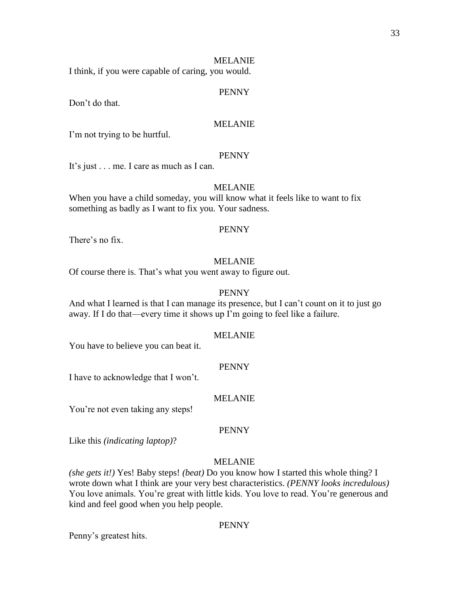I think, if you were capable of caring, you would.

#### PENNY

Don't do that.

# MELANIE

I'm not trying to be hurtful.

#### PENNY

It's just . . . me. I care as much as I can.

#### MELANIE

When you have a child someday, you will know what it feels like to want to fix something as badly as I want to fix you. Your sadness.

#### PENNY

There's no fix.

#### MELANIE

Of course there is. That's what you went away to figure out.

#### PENNY

And what I learned is that I can manage its presence, but I can't count on it to just go away. If I do that—every time it shows up I'm going to feel like a failure.

#### MELANIE

You have to believe you can beat it.

#### PENNY

I have to acknowledge that I won't.

#### MELANIE

You're not even taking any steps!

# PENNY

Like this *(indicating laptop)*?

# MELANIE

*(she gets it!)* Yes! Baby steps! *(beat)* Do you know how I started this whole thing? I wrote down what I think are your very best characteristics. *(PENNY looks incredulous)* You love animals. You're great with little kids. You love to read. You're generous and kind and feel good when you help people.

#### PENNY

Penny's greatest hits.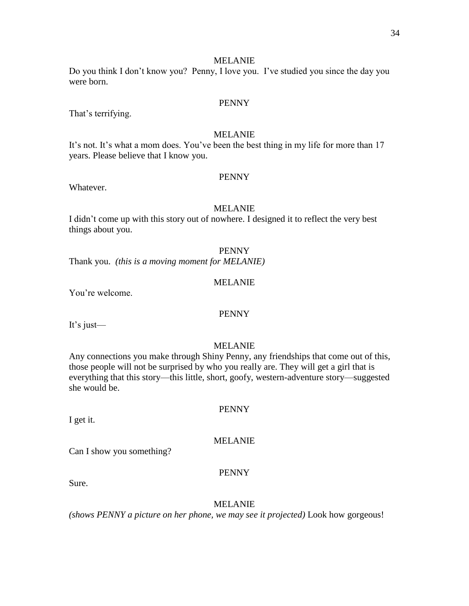Do you think I don't know you? Penny, I love you. I've studied you since the day you were born.

## PENNY

That's terrifying.

# MELANIE

It's not. It's what a mom does. You've been the best thing in my life for more than 17 years. Please believe that I know you.

#### PENNY

Whatever.

#### MELANIE

I didn't come up with this story out of nowhere. I designed it to reflect the very best things about you.

#### PENNY

Thank you. *(this is a moving moment for MELANIE)*

# MELANIE

You're welcome.

#### PENNY

It's just—

#### MELANIE

Any connections you make through Shiny Penny, any friendships that come out of this, those people will not be surprised by who you really are. They will get a girl that is everything that this story—this little, short, goofy, western-adventure story—suggested she would be.

I get it.

#### MELANIE

Can I show you something?

#### PENNY

Sure.

#### MELANIE

*(shows PENNY a picture on her phone, we may see it projected)* Look how gorgeous!

# PENNY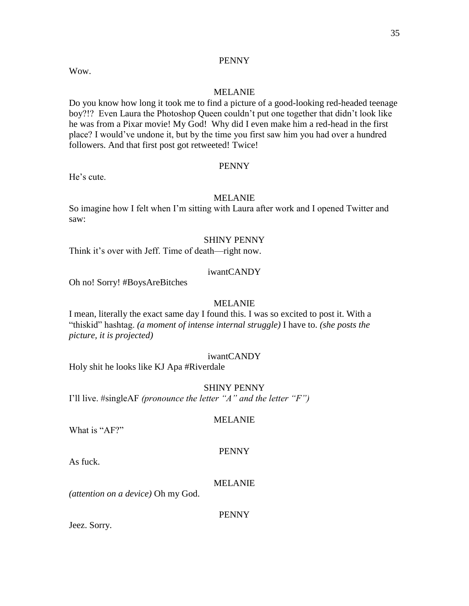Wow.

#### MELANIE

Do you know how long it took me to find a picture of a good-looking red-headed teenage boy?!? Even Laura the Photoshop Queen couldn't put one together that didn't look like he was from a Pixar movie! My God! Why did I even make him a red-head in the first place? I would've undone it, but by the time you first saw him you had over a hundred followers. And that first post got retweeted! Twice!

#### PENNY

He's cute.

# MELANIE

So imagine how I felt when I'm sitting with Laura after work and I opened Twitter and saw:

#### SHINY PENNY

Think it's over with Jeff. Time of death—right now.

#### iwantCANDY

Oh no! Sorry! #BoysAreBitches

#### MELANIE

I mean, literally the exact same day I found this. I was so excited to post it. With a "thiskid" hashtag. *(a moment of intense internal struggle)* I have to. *(she posts the picture, it is projected)*

#### iwantCANDY

Holy shit he looks like KJ Apa #Riverdale

#### SHINY PENNY

I'll live. #singleAF *(pronounce the letter "A" and the letter "F")*

#### MELANIE

What is "AF?"

#### PENNY

As fuck.

#### MELANIE

*(attention on a device)* Oh my God.

#### PENNY

Jeez. Sorry.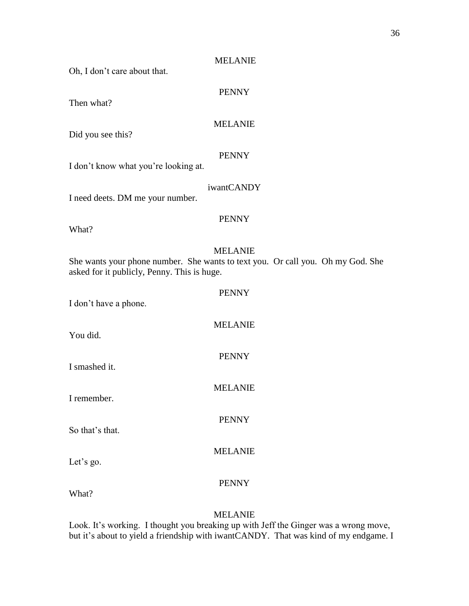Oh, I don't care about that.

PENNY

Then what?

# MELANIE

Did you see this?

# PENNY

I don't know what you're looking at.

# iwantCANDY

I need deets. DM me your number.

# PENNY

What?

# MELANIE

PENNY

MELANIE

PENNY

MELANIE

PENNY

She wants your phone number. She wants to text you. Or call you. Oh my God. She asked for it publicly, Penny. This is huge.

| I don't have a phone. |  |
|-----------------------|--|
|-----------------------|--|

You did.

I smashed it.

I remember.

So that's that.

Let's go.

# PENNY

MELANIE

What?

# MELANIE

Look. It's working. I thought you breaking up with Jeff the Ginger was a wrong move, but it's about to yield a friendship with iwantCANDY. That was kind of my endgame. I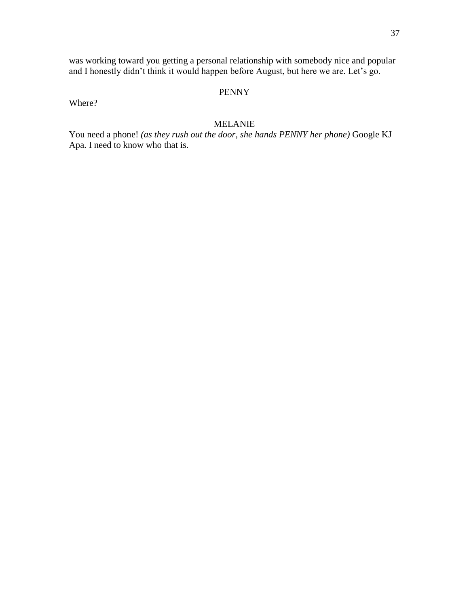was working toward you getting a personal relationship with somebody nice and popular and I honestly didn't think it would happen before August, but here we are. Let's go.

# PENNY

Where?

# MELANIE

You need a phone! *(as they rush out the door, she hands PENNY her phone)* Google KJ Apa. I need to know who that is.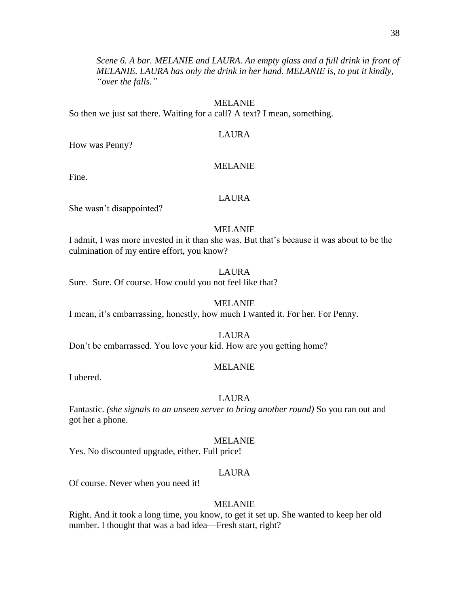*Scene 6. A bar. MELANIE and LAURA. An empty glass and a full drink in front of MELANIE. LAURA has only the drink in her hand. MELANIE is, to put it kindly, "over the falls."*

#### MELANIE

So then we just sat there. Waiting for a call? A text? I mean, something.

### LAURA

How was Penny?

#### MELANIE

Fine.

# LAURA

She wasn't disappointed?

#### MELANIE

I admit, I was more invested in it than she was. But that's because it was about to be the culmination of my entire effort, you know?

#### LAURA

Sure. Sure. Of course. How could you not feel like that?

#### MELANIE

I mean, it's embarrassing, honestly, how much I wanted it. For her. For Penny.

#### LAURA

Don't be embarrassed. You love your kid. How are you getting home?

#### MELANIE

I ubered.

#### LAURA

Fantastic. *(she signals to an unseen server to bring another round)* So you ran out and got her a phone.

#### MELANIE

Yes. No discounted upgrade, either. Full price!

### LAURA

Of course. Never when you need it!

#### MELANIE

Right. And it took a long time, you know, to get it set up. She wanted to keep her old number. I thought that was a bad idea—Fresh start, right?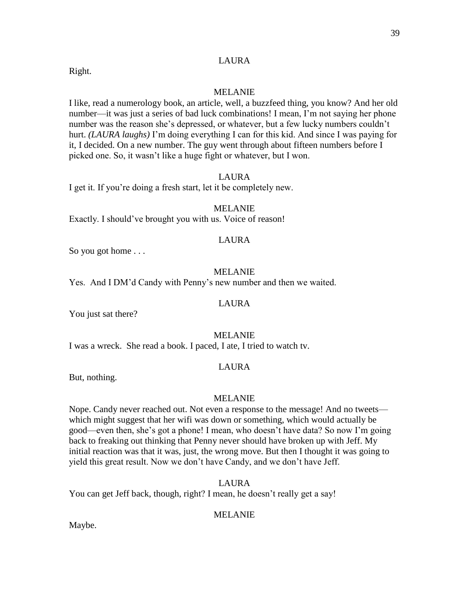# LAURA

Right.

### MELANIE

I like, read a numerology book, an article, well, a buzzfeed thing, you know? And her old number—it was just a series of bad luck combinations! I mean, I'm not saying her phone number was the reason she's depressed, or whatever, but a few lucky numbers couldn't hurt. *(LAURA laughs)* I'm doing everything I can for this kid. And since I was paying for it, I decided. On a new number. The guy went through about fifteen numbers before I picked one. So, it wasn't like a huge fight or whatever, but I won.

### LAURA

I get it. If you're doing a fresh start, let it be completely new.

#### MELANIE

Exactly. I should've brought you with us. Voice of reason!

#### LAURA

So you got home . . .

#### MELANIE

Yes. And I DM'd Candy with Penny's new number and then we waited.

### LAURA

You just sat there?

#### MELANIE

I was a wreck. She read a book. I paced, I ate, I tried to watch tv.

# LAURA

But, nothing.

#### MELANIE

Nope. Candy never reached out. Not even a response to the message! And no tweets which might suggest that her wifi was down or something, which would actually be good—even then, she's got a phone! I mean, who doesn't have data? So now I'm going back to freaking out thinking that Penny never should have broken up with Jeff. My initial reaction was that it was, just, the wrong move. But then I thought it was going to yield this great result. Now we don't have Candy, and we don't have Jeff.

LAURA

You can get Jeff back, though, right? I mean, he doesn't really get a say!

### MELANIE

Maybe.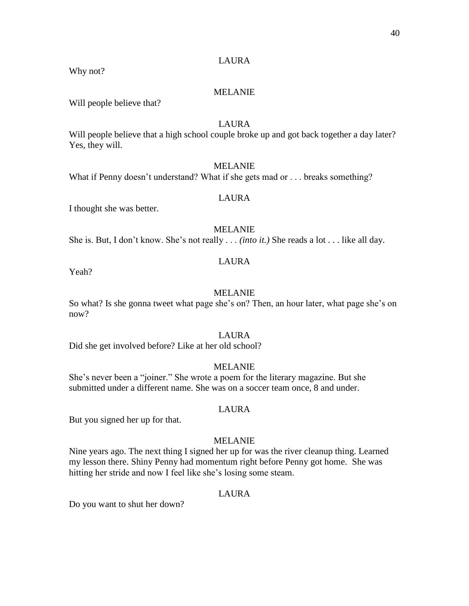# LAURA

Why not?

# MELANIE

Will people believe that?

# LAURA

Will people believe that a high school couple broke up and got back together a day later? Yes, they will.

### MELANIE

What if Penny doesn't understand? What if she gets mad or . . . breaks something?

### LAURA

I thought she was better.

### MELANIE

She is. But, I don't know. She's not really . . . *(into it.)* She reads a lot . . . like all day.

### LAURA

Yeah?

#### MELANIE

So what? Is she gonna tweet what page she's on? Then, an hour later, what page she's on now?

#### LAURA

Did she get involved before? Like at her old school?

### MELANIE

She's never been a "joiner." She wrote a poem for the literary magazine. But she submitted under a different name. She was on a soccer team once, 8 and under.

#### LAURA

But you signed her up for that.

#### MELANIE

Nine years ago. The next thing I signed her up for was the river cleanup thing. Learned my lesson there. Shiny Penny had momentum right before Penny got home. She was hitting her stride and now I feel like she's losing some steam.

### LAURA

Do you want to shut her down?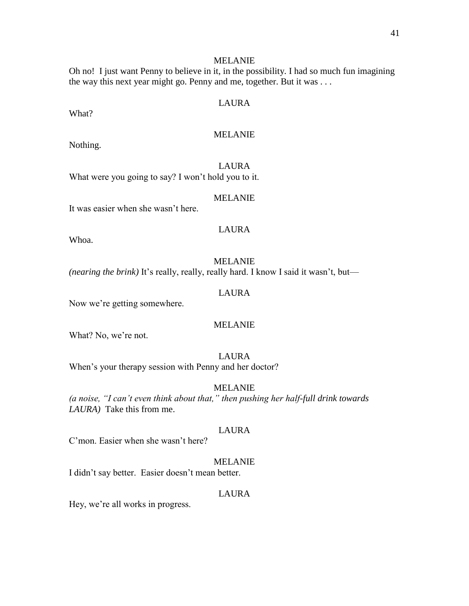Oh no! I just want Penny to believe in it, in the possibility. I had so much fun imagining the way this next year might go. Penny and me, together. But it was . . .

# LAURA

What?

# MELANIE

Nothing.

LAURA What were you going to say? I won't hold you to it.

# MELANIE

It was easier when she wasn't here.

# LAURA

Whoa.

### MELANIE

*(nearing the brink)* It's really, really, really hard. I know I said it wasn't, but—

### LAURA

Now we're getting somewhere.

### MELANIE

What? No, we're not.

### LAURA

When's your therapy session with Penny and her doctor?

# MELANIE

*(a noise, "I can't even think about that," then pushing her half-full drink towards LAURA)* Take this from me.

### LAURA

C'mon. Easier when she wasn't here?

### MELANIE

I didn't say better. Easier doesn't mean better.

#### LAURA

Hey, we're all works in progress.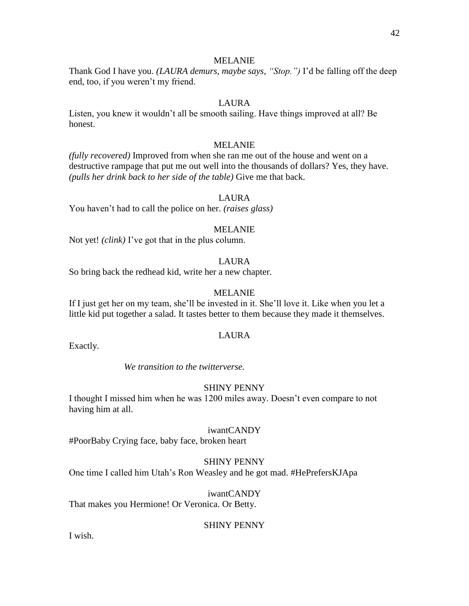Thank God I have you. *(LAURA demurs, maybe says, "Stop.")* I'd be falling off the deep end, too, if you weren't my friend.

# LAURA

Listen, you knew it wouldn't all be smooth sailing. Have things improved at all? Be honest.

### MELANIE

*(fully recovered)* Improved from when she ran me out of the house and went on a destructive rampage that put me out well into the thousands of dollars? Yes, they have. *(pulls her drink back to her side of the table)* Give me that back.

#### LAURA

You haven't had to call the police on her. *(raises glass)*

#### MELANIE

Not yet! *(clink)* I've got that in the plus column.

#### LAURA

So bring back the redhead kid, write her a new chapter.

#### MELANIE

If I just get her on my team, she'll be invested in it. She'll love it. Like when you let a little kid put together a salad. It tastes better to them because they made it themselves.

#### LAURA

Exactly.

*We transition to the twitterverse.*

# SHINY PENNY

I thought I missed him when he was 1200 miles away. Doesn't even compare to not having him at all.

#### iwantCANDY

#PoorBaby Crying face, baby face, broken heart

### SHINY PENNY

One time I called him Utah's Ron Weasley and he got mad. #HePrefersKJApa

#### iwantCANDY

That makes you Hermione! Or Veronica. Or Betty.

### SHINY PENNY

I wish.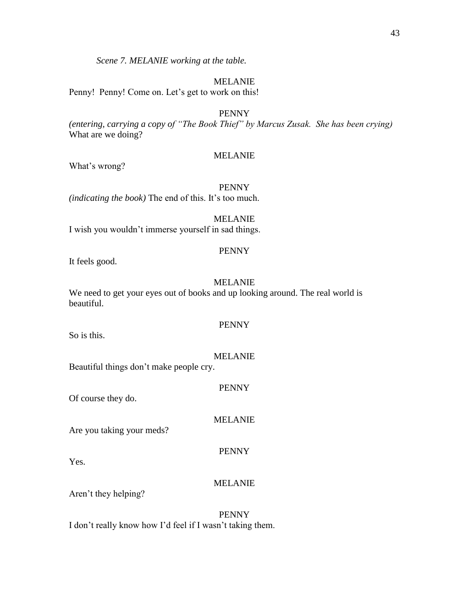*Scene 7. MELANIE working at the table.*

# MELANIE

Penny! Penny! Come on. Let's get to work on this!

PENNY

*(entering, carrying a copy of "The Book Thief" by Marcus Zusak. She has been crying)* What are we doing?

# MELANIE

What's wrong?

PENNY

*(indicating the book)* The end of this. It's too much.

MELANIE I wish you wouldn't immerse yourself in sad things.

# PENNY

It feels good.

# MELANIE

We need to get your eyes out of books and up looking around. The real world is beautiful.

# PENNY

So is this.

# MELANIE

Beautiful things don't make people cry.

# PENNY

Of course they do.

# MELANIE

PENNY

Are you taking your meds?

Yes.

# MELANIE

Aren't they helping?

PENNY I don't really know how I'd feel if I wasn't taking them.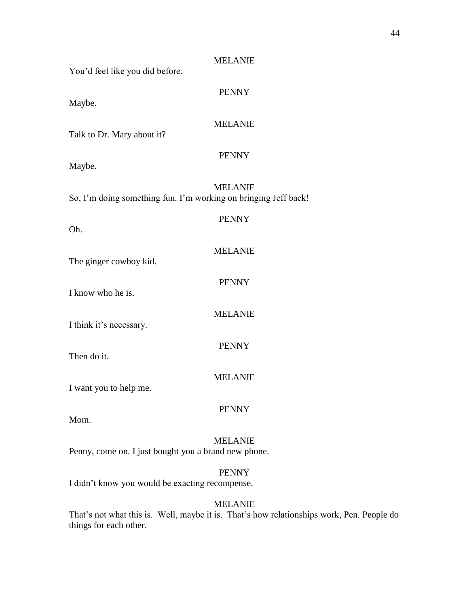| You'd feel like you did before.                                 | <b>MELANIE</b> |  |  |
|-----------------------------------------------------------------|----------------|--|--|
| Maybe.                                                          | <b>PENNY</b>   |  |  |
| Talk to Dr. Mary about it?                                      | <b>MELANIE</b> |  |  |
| Maybe.                                                          | <b>PENNY</b>   |  |  |
| So, I'm doing something fun. I'm working on bringing Jeff back! | <b>MELANIE</b> |  |  |
| Oh.                                                             | <b>PENNY</b>   |  |  |
| The ginger cowboy kid.                                          | <b>MELANIE</b> |  |  |
| I know who he is.                                               | <b>PENNY</b>   |  |  |
| I think it's necessary.                                         | <b>MELANIE</b> |  |  |
| Then do it.                                                     | <b>PENNY</b>   |  |  |
| I want you to help me.                                          | <b>MELANIE</b> |  |  |
| Mom.                                                            | <b>PENNY</b>   |  |  |
| Penny, come on. I just bought you a brand new phone.            | <b>MELANIE</b> |  |  |
| <b>PENNY</b><br>I didn't know you would be exacting recompense. |                |  |  |

That's not what this is. Well, maybe it is. That's how relationships work, Pen. People do things for each other.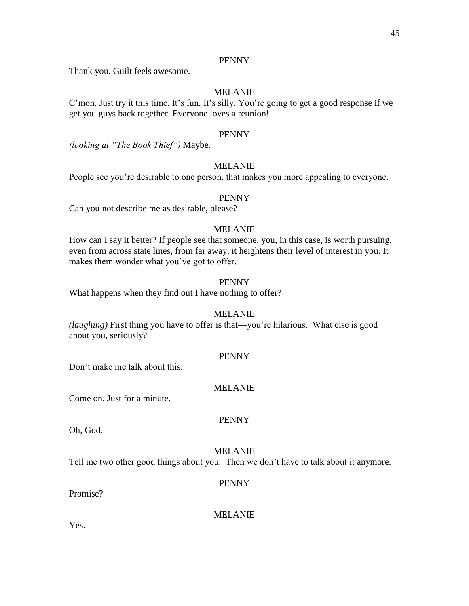Thank you. Guilt feels awesome.

# MELANIE

C'mon. Just try it this time. It's fun. It's silly. You're going to get a good response if we get you guys back together. Everyone loves a reunion!

#### PENNY

*(looking at "The Book Thief")* Maybe.

### MELANIE

People see you're desirable to one person, that makes you more appealing to everyone.

#### PENNY

Can you not describe me as desirable, please?

### MELANIE

How can I say it better? If people see that someone, you, in this case, is worth pursuing, even from across state lines, from far away, it heightens their level of interest in you. It makes them wonder what you've got to offer.

# PENNY

What happens when they find out I have nothing to offer?

#### MELANIE

*(laughing)* First thing you have to offer is that—you're hilarious. What else is good about you, seriously?

#### PENNY

Don't make me talk about this.

### MELANIE

Come on. Just for a minute.

# PENNY

Oh, God.

#### MELANIE

Tell me two other good things about you. Then we don't have to talk about it anymore.

#### PENNY

Promise?

MELANIE

Yes.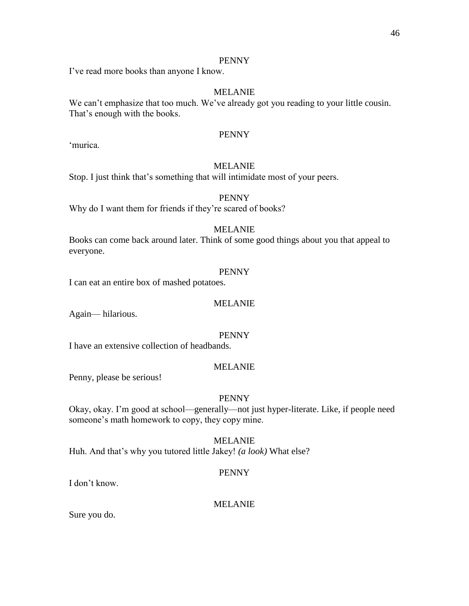I've read more books than anyone I know.

# MELANIE

We can't emphasize that too much. We've already got you reading to your little cousin. That's enough with the books.

# PENNY

'murica.

# MELANIE

Stop. I just think that's something that will intimidate most of your peers.

# PENNY

Why do I want them for friends if they're scared of books?

# MELANIE

Books can come back around later. Think of some good things about you that appeal to everyone.

### PENNY

I can eat an entire box of mashed potatoes.

### MELANIE

Again— hilarious.

### PENNY

I have an extensive collection of headbands.

### MELANIE

Penny, please be serious!

### PENNY

Okay, okay. I'm good at school—generally—not just hyper-literate. Like, if people need someone's math homework to copy, they copy mine.

MELANIE

Huh. And that's why you tutored little Jakey! *(a look)* What else?

# PENNY

I don't know.

# MELANIE

Sure you do.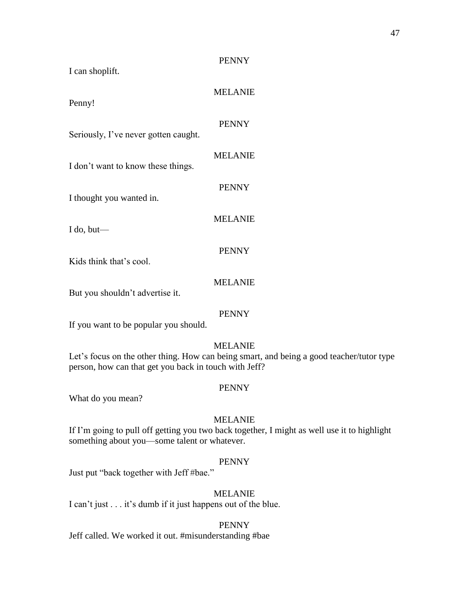| I can shoplift.                                       | <b>PENNY</b>                                                                                               |
|-------------------------------------------------------|------------------------------------------------------------------------------------------------------------|
| Penny!                                                | <b>MELANIE</b>                                                                                             |
| Seriously, I've never gotten caught.                  | <b>PENNY</b>                                                                                               |
| I don't want to know these things.                    | <b>MELANIE</b>                                                                                             |
| I thought you wanted in.                              | <b>PENNY</b>                                                                                               |
| I do, but—                                            | <b>MELANIE</b>                                                                                             |
| Kids think that's cool.                               | <b>PENNY</b>                                                                                               |
| But you shouldn't advertise it.                       | <b>MELANIE</b>                                                                                             |
| If you want to be popular you should.                 | <b>PENNY</b>                                                                                               |
| person, how can that get you back in touch with Jeff? | <b>MELANIE</b><br>Let's focus on the other thing. How can being smart, and being a good teacher/tutor type |
| What do you mean?                                     | <b>PENNY</b>                                                                                               |

If I'm going to pull off getting you two back together, I might as well use it to highlight something about you—some talent or whatever.

# PENNY

Just put "back together with Jeff #bae."

# MELANIE

I can't just . . . it's dumb if it just happens out of the blue.

### PENNY

Jeff called. We worked it out. #misunderstanding #bae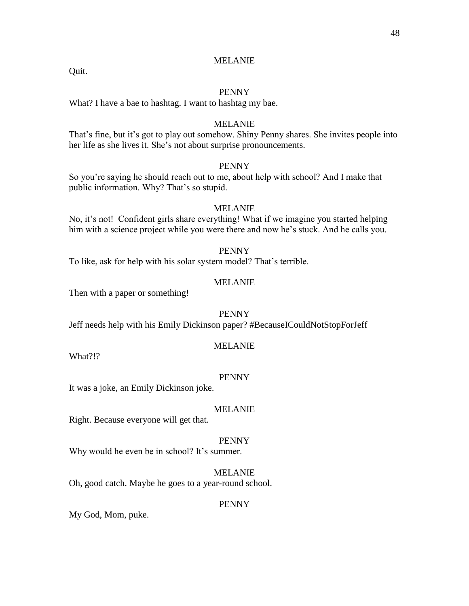#### PENNY

What? I have a bae to hashtag. I want to hashtag my bae.

#### MELANIE

That's fine, but it's got to play out somehow. Shiny Penny shares. She invites people into her life as she lives it. She's not about surprise pronouncements.

### **PENNY**

So you're saying he should reach out to me, about help with school? And I make that public information. Why? That's so stupid.

#### MELANIE

No, it's not! Confident girls share everything! What if we imagine you started helping him with a science project while you were there and now he's stuck. And he calls you.

#### PENNY

To like, ask for help with his solar system model? That's terrible.

# MELANIE

Then with a paper or something!

#### PENNY

Jeff needs help with his Emily Dickinson paper? #BecauseICouldNotStopForJeff

#### MELANIE

What?!?

Quit.

#### PENNY

It was a joke, an Emily Dickinson joke.

#### MELANIE

Right. Because everyone will get that.

#### PENNY

Why would he even be in school? It's summer.

MELANIE Oh, good catch. Maybe he goes to a year-round school.

#### PENNY

My God, Mom, puke.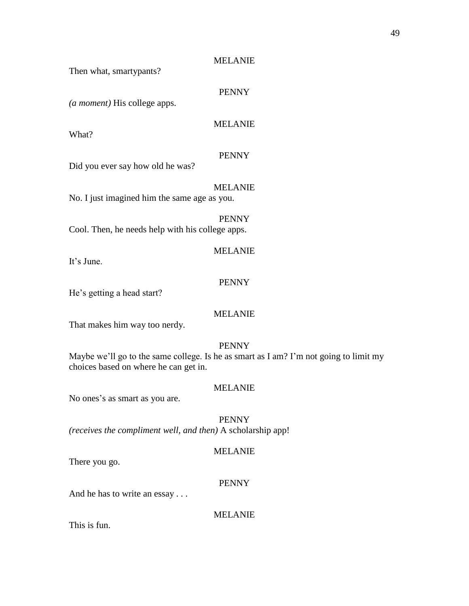Then what, smartypants?

# PENNY

*(a moment)* His college apps.

# MELANIE

What?

### PENNY

Did you ever say how old he was?

# MELANIE

No. I just imagined him the same age as you.

PENNY Cool. Then, he needs help with his college apps.

It's June.

#### PENNY

MELANIE

He's getting a head start?

### MELANIE

That makes him way too nerdy.

### PENNY

Maybe we'll go to the same college. Is he as smart as I am? I'm not going to limit my choices based on where he can get in.

# MELANIE

No ones's as smart as you are.

PENNY

*(receives the compliment well, and then)* A scholarship app!

# MELANIE

There you go.

### PENNY

And he has to write an essay . . .

# MELANIE

This is fun.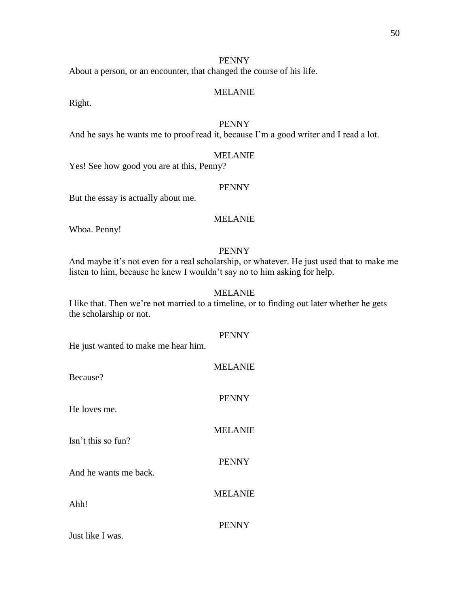About a person, or an encounter, that changed the course of his life.

### MELANIE

Right.

# PENNY

And he says he wants me to proof read it, because I'm a good writer and I read a lot.

### MELANIE

Yes! See how good you are at this, Penny?

### PENNY

But the essay is actually about me.

# MELANIE

Whoa. Penny!

### PENNY

And maybe it's not even for a real scholarship, or whatever. He just used that to make me listen to him, because he knew I wouldn't say no to him asking for help.

# MELANIE

I like that. Then we're not married to a timeline, or to finding out later whether he gets the scholarship or not.

# PENNY

He just wanted to make me hear him.

| Because?              | <b>MELANIE</b> |
|-----------------------|----------------|
| He loves me.          | <b>PENNY</b>   |
| Isn't this so fun?    | <b>MELANIE</b> |
| And he wants me back. | <b>PENNY</b>   |
| Ahh!                  | <b>MELANIE</b> |
| Just like I was.      | <b>PENNY</b>   |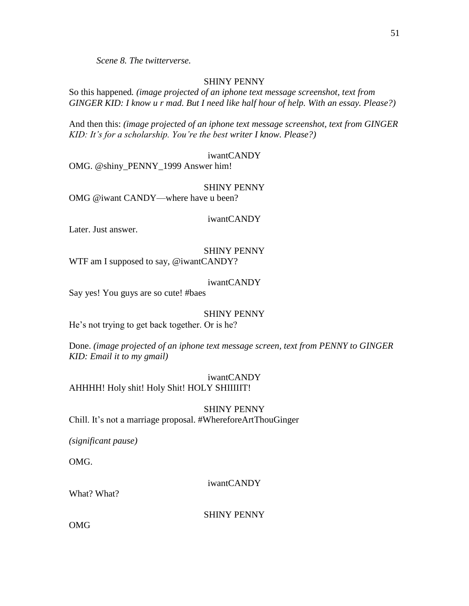*Scene 8. The twitterverse.*

# SHINY PENNY

So this happened*. (image projected of an iphone text message screenshot, text from GINGER KID: I know u r mad. But I need like half hour of help. With an essay. Please?)*

And then this: *(image projected of an iphone text message screenshot, text from GINGER KID: It's for a scholarship. You're the best writer I know. Please?)*

### iwantCANDY

OMG. @shiny\_PENNY\_1999 Answer him!

#### SHINY PENNY

OMG @iwant CANDY—where have u been?

### iwantCANDY

Later. Just answer.

### SHINY PENNY WTF am I supposed to say, @iwantCANDY?

### iwantCANDY

Say yes! You guys are so cute! #baes

### SHINY PENNY

He's not trying to get back together. Or is he?

Done. *(image projected of an iphone text message screen, text from PENNY to GINGER KID: Email it to my gmail)*

# iwantCANDY

AHHHH! Holy shit! Holy Shit! HOLY SHIIIIIT!

#### SHINY PENNY

Chill. It's not a marriage proposal. #WhereforeArtThouGinger

*(significant pause)* 

OMG.

# iwantCANDY

What? What?

SHINY PENNY

OMG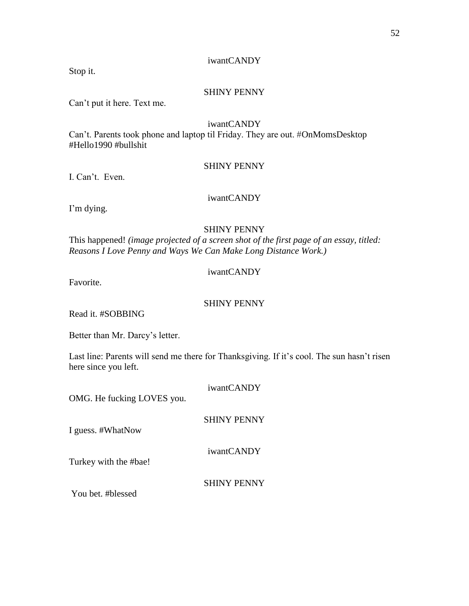# iwantCANDY

Stop it.

### SHINY PENNY

Can't put it here. Text me.

#### iwantCANDY

Can't. Parents took phone and laptop til Friday. They are out. #OnMomsDesktop #Hello1990 #bullshit

### SHINY PENNY

I. Can't. Even.

# iwantCANDY

I'm dying.

# SHINY PENNY

This happened! *(image projected of a screen shot of the first page of an essay, titled: Reasons I Love Penny and Ways We Can Make Long Distance Work.)*

# iwantCANDY

Favorite.

# SHINY PENNY

Read it. #SOBBING

Better than Mr. Darcy's letter.

Last line: Parents will send me there for Thanksgiving. If it's cool. The sun hasn't risen here since you left.

| OMG. He fucking LOVES you. | iwantCANDY         |
|----------------------------|--------------------|
| I guess. #WhatNow          | <b>SHINY PENNY</b> |
| Turkey with the #bae!      | iwantCANDY         |
| You bet. #blessed          | <b>SHINY PENNY</b> |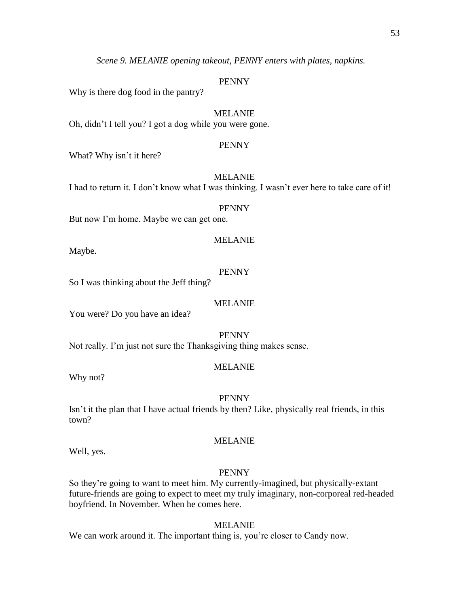*Scene 9. MELANIE opening takeout, PENNY enters with plates, napkins.* 

#### PENNY

Why is there dog food in the pantry?

#### MELANIE

Oh, didn't I tell you? I got a dog while you were gone.

#### PENNY

What? Why isn't it here?

### MELANIE

I had to return it. I don't know what I was thinking. I wasn't ever here to take care of it!

#### PENNY

But now I'm home. Maybe we can get one.

### MELANIE

Maybe.

# PENNY

So I was thinking about the Jeff thing?

### MELANIE

You were? Do you have an idea?

PENNY

Not really. I'm just not sure the Thanksgiving thing makes sense.

#### MELANIE

Why not?

#### PENNY

Isn't it the plan that I have actual friends by then? Like, physically real friends, in this town?

#### MELANIE

Well, yes.

### PENNY

So they're going to want to meet him. My currently-imagined, but physically-extant future-friends are going to expect to meet my truly imaginary, non-corporeal red-headed boyfriend. In November. When he comes here.

#### MELANIE

We can work around it. The important thing is, you're closer to Candy now.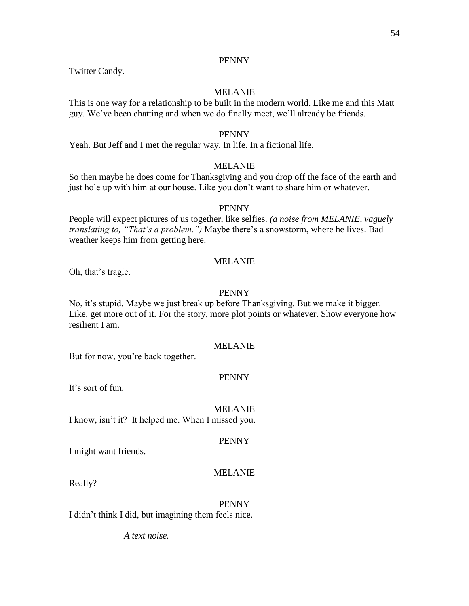Twitter Candy.

### MELANIE

This is one way for a relationship to be built in the modern world. Like me and this Matt guy. We've been chatting and when we do finally meet, we'll already be friends.

### PENNY

Yeah. But Jeff and I met the regular way. In life. In a fictional life.

### MELANIE

So then maybe he does come for Thanksgiving and you drop off the face of the earth and just hole up with him at our house. Like you don't want to share him or whatever.

### PENNY

People will expect pictures of us together, like selfies. *(a noise from MELANIE, vaguely translating to, "That's a problem.")* Maybe there's a snowstorm, where he lives. Bad weather keeps him from getting here.

# MELANIE

Oh, that's tragic.

### PENNY

No, it's stupid. Maybe we just break up before Thanksgiving. But we make it bigger. Like, get more out of it. For the story, more plot points or whatever. Show everyone how resilient I am.

### MELANIE

But for now, you're back together.

### PENNY

It's sort of fun.

MELANIE I know, isn't it? It helped me. When I missed you.

### PENNY

I might want friends.

### MELANIE

Really?

PENNY I didn't think I did, but imagining them feels nice.

*A text noise.*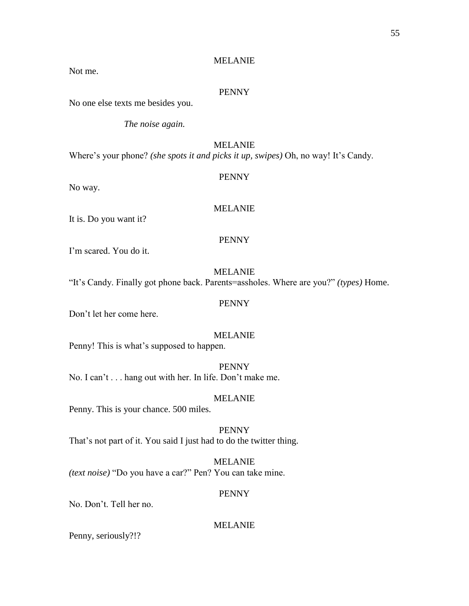Not me.

#### PENNY

No one else texts me besides you.

*The noise again.*

# MELANIE

Where's your phone? *(she spots it and picks it up, swipes)* Oh, no way! It's Candy.

# PENNY

No way.

### MELANIE

It is. Do you want it?

### PENNY

I'm scared. You do it.

### MELANIE

"It's Candy. Finally got phone back. Parents=assholes. Where are you?" *(types)* Home.

# PENNY

Don't let her come here.

#### MELANIE

Penny! This is what's supposed to happen.

PENNY No. I can't . . . hang out with her. In life. Don't make me.

### MELANIE

Penny. This is your chance. 500 miles.

PENNY That's not part of it. You said I just had to do the twitter thing.

MELANIE *(text noise)* "Do you have a car?" Pen? You can take mine.

### PENNY

No. Don't. Tell her no.

### MELANIE

Penny, seriously?!?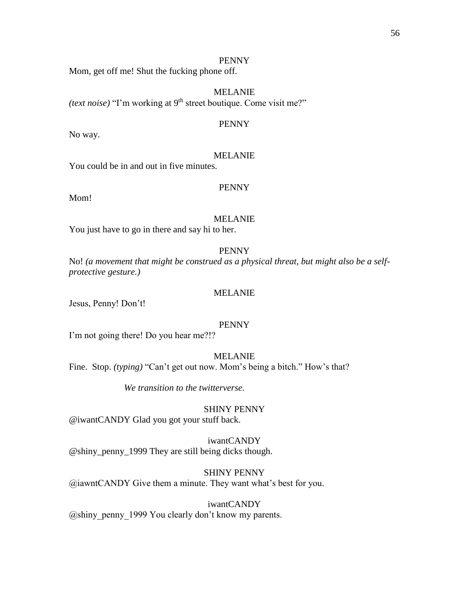Mom, get off me! Shut the fucking phone off.

MELANIE *(text noise)* "I'm working at 9<sup>th</sup> street boutique. Come visit me?"

#### PENNY

No way.

### MELANIE

You could be in and out in five minutes.

### PENNY

Mom!

# MELANIE

You just have to go in there and say hi to her.

#### PENNY

No! *(a movement that might be construed as a physical threat, but might also be a selfprotective gesture.)*

#### MELANIE

Jesus, Penny! Don't!

### PENNY

I'm not going there! Do you hear me?!?

### MELANIE

Fine. Stop. *(typing)* "Can't get out now. Mom's being a bitch." How's that?

*We transition to the twitterverse.*

#### SHINY PENNY

@iwantCANDY Glad you got your stuff back.

iwantCANDY @shiny\_penny\_1999 They are still being dicks though.

SHINY PENNY @iawntCANDY Give them a minute. They want what's best for you.

iwantCANDY @shiny\_penny\_1999 You clearly don't know my parents.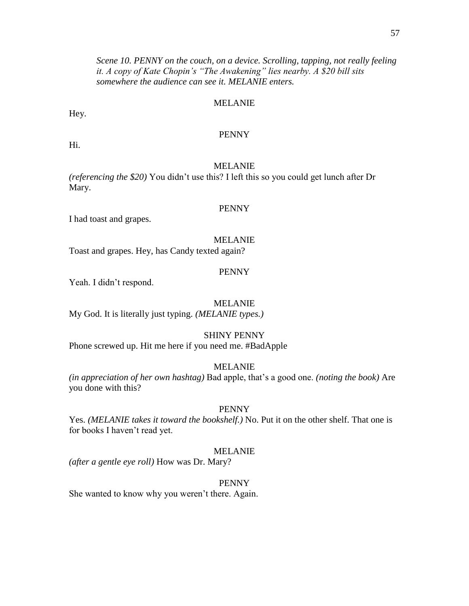*Scene 10. PENNY on the couch, on a device. Scrolling, tapping, not really feeling it. A copy of Kate Chopin's "The Awakening" lies nearby. A \$20 bill sits somewhere the audience can see it. MELANIE enters.*

### MELANIE

Hey.

### PENNY

Hi.

# MELANIE

*(referencing the \$20)* You didn't use this? I left this so you could get lunch after Dr Mary.

#### PENNY

I had toast and grapes.

#### MELANIE

Toast and grapes. Hey, has Candy texted again?

#### PENNY

Yeah. I didn't respond.

#### MELANIE

My God. It is literally just typing. *(MELANIE types.)*

#### SHINY PENNY

Phone screwed up. Hit me here if you need me. #BadApple

# MELANIE

*(in appreciation of her own hashtag)* Bad apple, that's a good one. *(noting the book)* Are you done with this?

#### PENNY

Yes. *(MELANIE takes it toward the bookshelf.)* No. Put it on the other shelf. That one is for books I haven't read yet.

#### MELANIE

*(after a gentle eye roll)* How was Dr. Mary?

#### PENNY

She wanted to know why you weren't there. Again.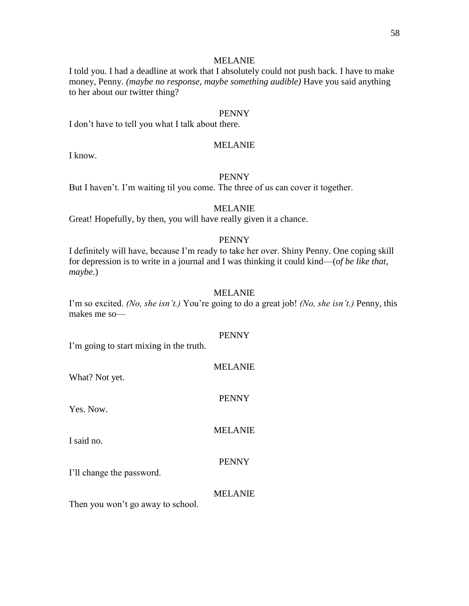I told you. I had a deadline at work that I absolutely could not push back. I have to make money, Penny. *(maybe no response, maybe something audible)* Have you said anything to her about our twitter thing?

### PENNY

I don't have to tell you what I talk about there.

# MELANIE

I know.

# PENNY

But I haven't. I'm waiting til you come. The three of us can cover it together.

#### MELANIE

Great! Hopefully, by then, you will have really given it a chance.

# PENNY

I definitely will have, because I'm ready to take her over. Shiny Penny. One coping skill for depression is to write in a journal and I was thinking it could kind—(*of be like that, maybe*.)

#### MELANIE

I'm so excited. *(No, she isn't.)* You're going to do a great job! *(No, she isn't.)* Penny, this makes me so—

### PENNY

I'm going to start mixing in the truth.

| What? Not yet.                    | <b>MELANIE</b> |
|-----------------------------------|----------------|
| Yes. Now.                         | <b>PENNY</b>   |
| I said no.                        | <b>MELANIE</b> |
| I'll change the password.         | <b>PENNY</b>   |
| Then you won't go away to school. | <b>MELANIE</b> |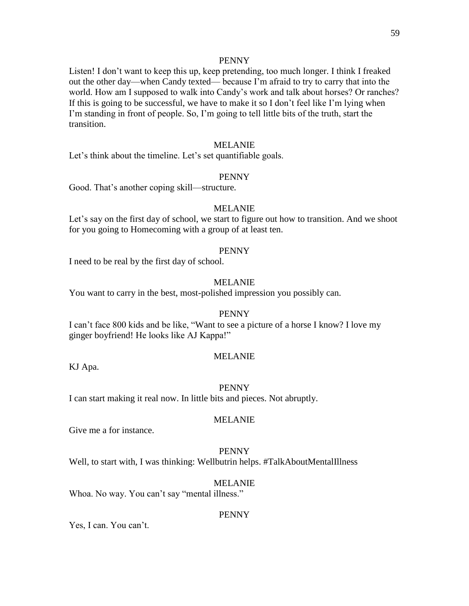Listen! I don't want to keep this up, keep pretending, too much longer. I think I freaked out the other day—when Candy texted— because I'm afraid to try to carry that into the world. How am I supposed to walk into Candy's work and talk about horses? Or ranches? If this is going to be successful, we have to make it so I don't feel like I'm lying when I'm standing in front of people. So, I'm going to tell little bits of the truth, start the transition.

# MELANIE

Let's think about the timeline. Let's set quantifiable goals.

#### PENNY

Good. That's another coping skill—structure.

#### MELANIE

Let's say on the first day of school, we start to figure out how to transition. And we shoot for you going to Homecoming with a group of at least ten.

#### PENNY

I need to be real by the first day of school.

# MELANIE

You want to carry in the best, most-polished impression you possibly can.

#### PENNY

I can't face 800 kids and be like, "Want to see a picture of a horse I know? I love my ginger boyfriend! He looks like AJ Kappa!"

#### MELANIE

KJ Apa.

#### PENNY

I can start making it real now. In little bits and pieces. Not abruptly.

#### MELANIE

Give me a for instance.

#### PENNY

Well, to start with, I was thinking: Wellbutrin helps. #TalkAboutMentalIllness

#### MELANIE

Whoa. No way. You can't say "mental illness."

#### PENNY

Yes, I can. You can't.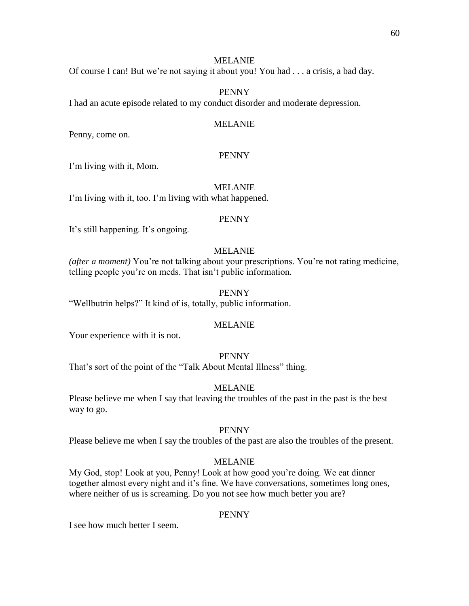Of course I can! But we're not saying it about you! You had . . . a crisis, a bad day.

# PENNY

I had an acute episode related to my conduct disorder and moderate depression.

### MELANIE

Penny, come on.

### PENNY

I'm living with it, Mom.

### MELANIE

I'm living with it, too. I'm living with what happened.

#### PENNY

It's still happening. It's ongoing.

### MELANIE

*(after a moment)* You're not talking about your prescriptions. You're not rating medicine, telling people you're on meds. That isn't public information.

### PENNY

"Wellbutrin helps?" It kind of is, totally, public information.

### MELANIE

Your experience with it is not.

### PENNY

That's sort of the point of the "Talk About Mental Illness" thing.

### MELANIE

Please believe me when I say that leaving the troubles of the past in the past is the best way to go.

#### PENNY

Please believe me when I say the troubles of the past are also the troubles of the present.

### MELANIE

My God, stop! Look at you, Penny! Look at how good you're doing. We eat dinner together almost every night and it's fine. We have conversations, sometimes long ones, where neither of us is screaming. Do you not see how much better you are?

#### PENNY

I see how much better I seem.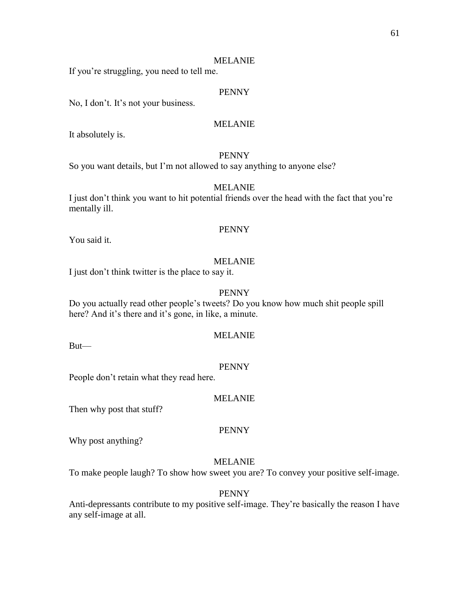If you're struggling, you need to tell me.

# PENNY

No, I don't. It's not your business.

### MELANIE

It absolutely is.

# PENNY

So you want details, but I'm not allowed to say anything to anyone else?

### MELANIE

I just don't think you want to hit potential friends over the head with the fact that you're mentally ill.

#### PENNY

You said it.

### MELANIE

I just don't think twitter is the place to say it.

### PENNY

Do you actually read other people's tweets? Do you know how much shit people spill here? And it's there and it's gone, in like, a minute.

#### MELANIE

But—

#### PENNY

People don't retain what they read here.

#### MELANIE

Then why post that stuff?

#### PENNY

Why post anything?

### MELANIE

To make people laugh? To show how sweet you are? To convey your positive self-image.

#### PENNY

Anti-depressants contribute to my positive self-image. They're basically the reason I have any self-image at all.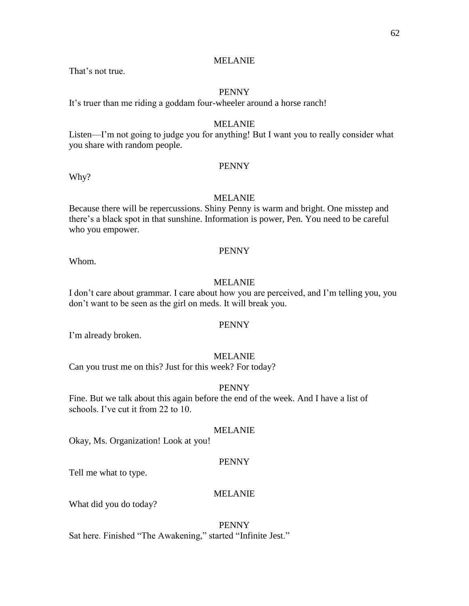That's not true.

### PENNY

It's truer than me riding a goddam four-wheeler around a horse ranch!

### MELANIE

Listen—I'm not going to judge you for anything! But I want you to really consider what you share with random people.

#### PENNY

Why?

# MELANIE

Because there will be repercussions. Shiny Penny is warm and bright. One misstep and there's a black spot in that sunshine. Information is power, Pen. You need to be careful who you empower.

#### PENNY

Whom.

# MELANIE

I don't care about grammar. I care about how you are perceived, and I'm telling you, you don't want to be seen as the girl on meds. It will break you.

### PENNY

I'm already broken.

### MELANIE

Can you trust me on this? Just for this week? For today?

#### PENNY

Fine. But we talk about this again before the end of the week. And I have a list of schools. I've cut it from 22 to 10.

#### MELANIE

Okay, Ms. Organization! Look at you!

#### PENNY

Tell me what to type.

#### MELANIE

What did you do today?

PENNY Sat here. Finished "The Awakening," started "Infinite Jest."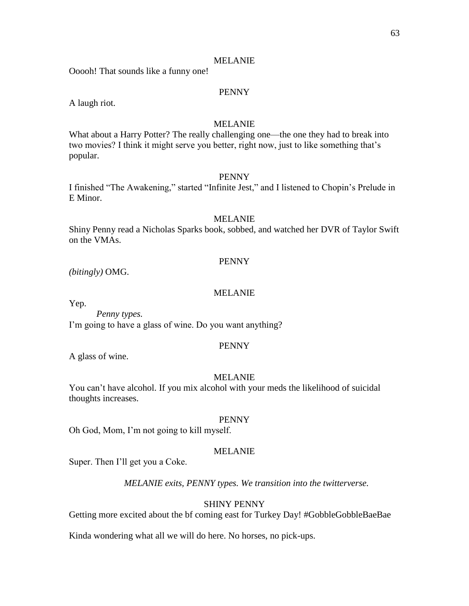Ooooh! That sounds like a funny one!

### PENNY

A laugh riot.

### MELANIE

What about a Harry Potter? The really challenging one—the one they had to break into two movies? I think it might serve you better, right now, just to like something that's popular.

#### PENNY

I finished "The Awakening," started "Infinite Jest," and I listened to Chopin's Prelude in E Minor.

### MELANIE

Shiny Penny read a Nicholas Sparks book, sobbed, and watched her DVR of Taylor Swift on the VMAs.

### PENNY

*(bitingly)* OMG.

#### MELANIE

Yep.

*Penny types.* I'm going to have a glass of wine. Do you want anything?

#### PENNY

A glass of wine.

#### MELANIE

You can't have alcohol. If you mix alcohol with your meds the likelihood of suicidal thoughts increases.

#### PENNY

Oh God, Mom, I'm not going to kill myself.

### MELANIE

Super. Then I'll get you a Coke.

*MELANIE exits, PENNY types. We transition into the twitterverse.*

#### SHINY PENNY

Getting more excited about the bf coming east for Turkey Day! #GobbleGobbleBaeBae

Kinda wondering what all we will do here. No horses, no pick-ups.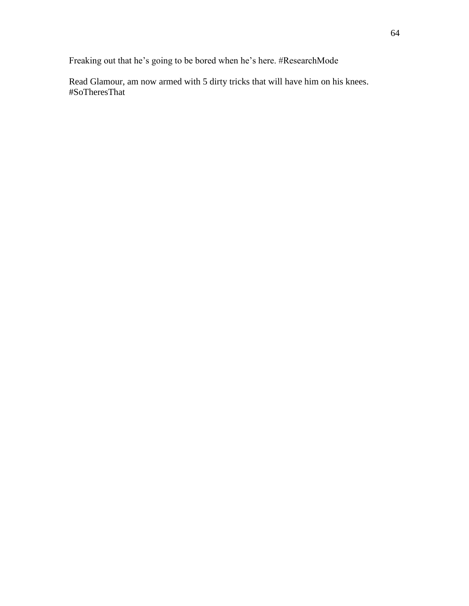Freaking out that he's going to be bored when he's here. #ResearchMode

Read Glamour, am now armed with 5 dirty tricks that will have him on his knees. #SoTheresThat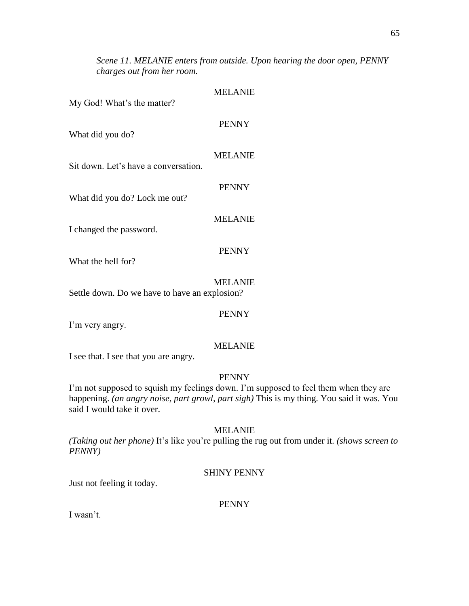*Scene 11. MELANIE enters from outside. Upon hearing the door open, PENNY charges out from her room.*

### MELANIE

My God! What's the matter?

# PENNY

What did you do?

# MELANIE

Sit down. Let's have a conversation.

What did you do? Lock me out?

# MELANIE

PENNY

PENNY

I changed the password.

What the hell for?

MELANIE Settle down. Do we have to have an explosion?

PENNY

I'm very angry.

# MELANIE

I see that. I see that you are angry.

# PENNY

I'm not supposed to squish my feelings down. I'm supposed to feel them when they are happening. *(an angry noise, part growl, part sigh)* This is my thing. You said it was. You said I would take it over.

# MELANIE

*(Taking out her phone)* It's like you're pulling the rug out from under it. *(shows screen to PENNY)* 

# SHINY PENNY

Just not feeling it today.

# PENNY

I wasn't.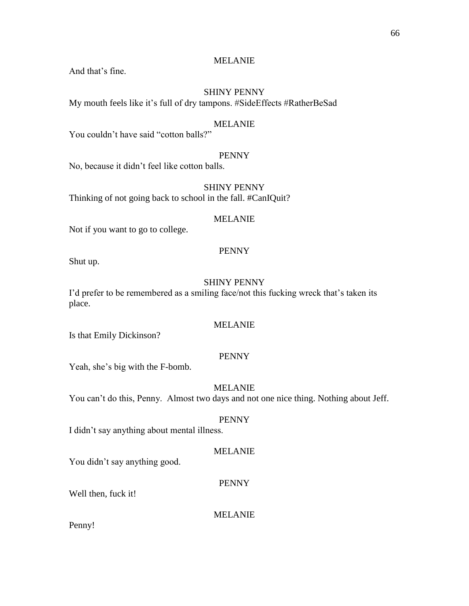And that's fine.

# SHINY PENNY

My mouth feels like it's full of dry tampons. #SideEffects #RatherBeSad

### MELANIE

You couldn't have said "cotton balls?"

# PENNY

No, because it didn't feel like cotton balls.

SHINY PENNY Thinking of not going back to school in the fall. #CanIQuit?

# MELANIE

Not if you want to go to college.

### PENNY

Shut up.

# SHINY PENNY

I'd prefer to be remembered as a smiling face/not this fucking wreck that's taken its place.

# MELANIE

Is that Emily Dickinson?

### PENNY

Yeah, she's big with the F-bomb.

# MELANIE

You can't do this, Penny. Almost two days and not one nice thing. Nothing about Jeff.

### PENNY

I didn't say anything about mental illness.

### MELANIE

You didn't say anything good.

#### PENNY

Well then, fuck it!

### MELANIE

Penny!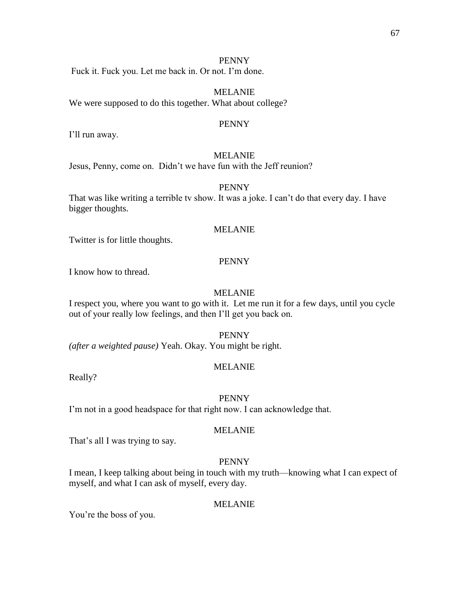Fuck it. Fuck you. Let me back in. Or not. I'm done.

MELANIE We were supposed to do this together. What about college?

#### PENNY

I'll run away.

### MELANIE

Jesus, Penny, come on. Didn't we have fun with the Jeff reunion?

#### PENNY

That was like writing a terrible tv show. It was a joke. I can't do that every day. I have bigger thoughts.

### MELANIE

Twitter is for little thoughts.

### PENNY

I know how to thread.

### MELANIE

I respect you, where you want to go with it. Let me run it for a few days, until you cycle out of your really low feelings, and then I'll get you back on.

PENNY

*(after a weighted pause)* Yeah. Okay. You might be right.

# MELANIE

Really?

#### PENNY

I'm not in a good headspace for that right now. I can acknowledge that.

### MELANIE

That's all I was trying to say.

# PENNY

I mean, I keep talking about being in touch with my truth—knowing what I can expect of myself, and what I can ask of myself, every day.

#### MELANIE

You're the boss of you.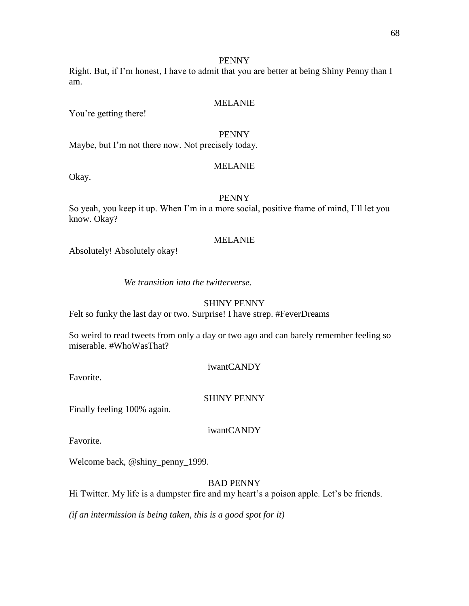Right. But, if I'm honest, I have to admit that you are better at being Shiny Penny than I am.

#### MELANIE

You're getting there!

# PENNY

Maybe, but I'm not there now. Not precisely today.

### MELANIE

Okay.

# PENNY

So yeah, you keep it up. When I'm in a more social, positive frame of mind, I'll let you know. Okay?

#### MELANIE

Absolutely! Absolutely okay!

*We transition into the twitterverse.*

#### SHINY PENNY

Felt so funky the last day or two. Surprise! I have strep. #FeverDreams

So weird to read tweets from only a day or two ago and can barely remember feeling so miserable. #WhoWasThat?

iwantCANDY

Favorite.

### SHINY PENNY

Finally feeling 100% again.

iwantCANDY

Favorite.

Welcome back, @shiny\_penny\_1999.

BAD PENNY

Hi Twitter. My life is a dumpster fire and my heart's a poison apple. Let's be friends.

*(if an intermission is being taken, this is a good spot for it)*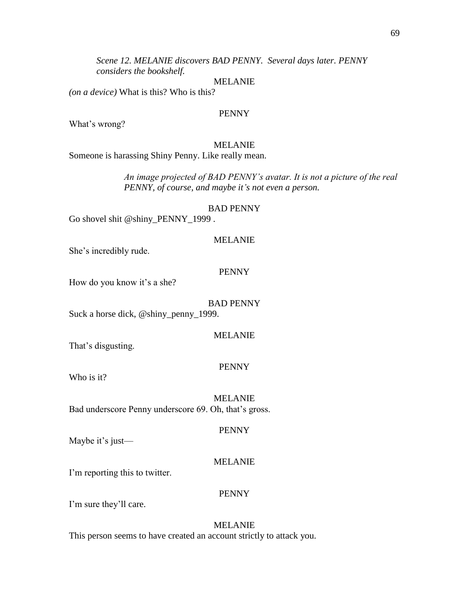*Scene 12. MELANIE discovers BAD PENNY. Several days later. PENNY considers the bookshelf.*

#### MELANIE

*(on a device)* What is this? Who is this?

#### PENNY

What's wrong?

### MELANIE

Someone is harassing Shiny Penny. Like really mean.

*An image projected of BAD PENNY's avatar. It is not a picture of the real PENNY, of course, and maybe it's not even a person.*

#### BAD PENNY

Go shovel shit @shiny\_PENNY\_1999 .

#### MELANIE

She's incredibly rude.

### PENNY

How do you know it's a she?

#### BAD PENNY

Suck a horse dick, @shiny\_penny\_1999.

#### MELANIE

That's disgusting.

# PENNY

Who is it?

MELANIE Bad underscore Penny underscore 69. Oh, that's gross.

### PENNY

Maybe it's just—

#### MELANIE

I'm reporting this to twitter.

#### PENNY

I'm sure they'll care.

### MELANIE

This person seems to have created an account strictly to attack you.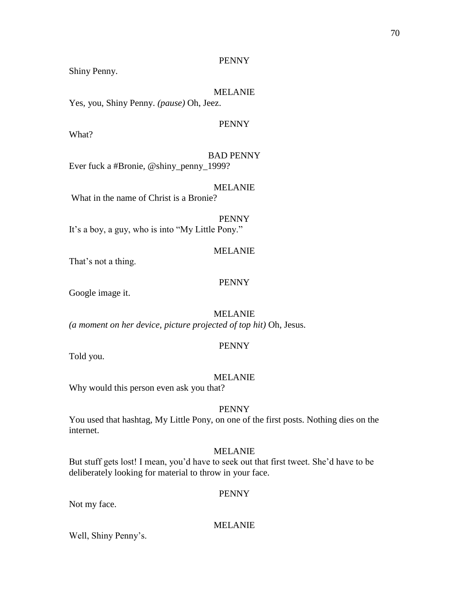Shiny Penny.

# MELANIE

Yes, you, Shiny Penny. *(pause)* Oh, Jeez.

# PENNY

What?

BAD PENNY Ever fuck a #Bronie, @shiny\_penny\_1999?

### MELANIE

What in the name of Christ is a Bronie?

PENNY It's a boy, a guy, who is into "My Little Pony."

### MELANIE

That's not a thing.

# PENNY

Google image it.

MELANIE

*(a moment on her device, picture projected of top hit)* Oh, Jesus.

### PENNY

Told you.

### MELANIE

Why would this person even ask you that?

# PENNY

You used that hashtag, My Little Pony, on one of the first posts. Nothing dies on the internet.

### MELANIE

But stuff gets lost! I mean, you'd have to seek out that first tweet. She'd have to be deliberately looking for material to throw in your face.

### PENNY

Not my face.

MELANIE

Well, Shiny Penny's.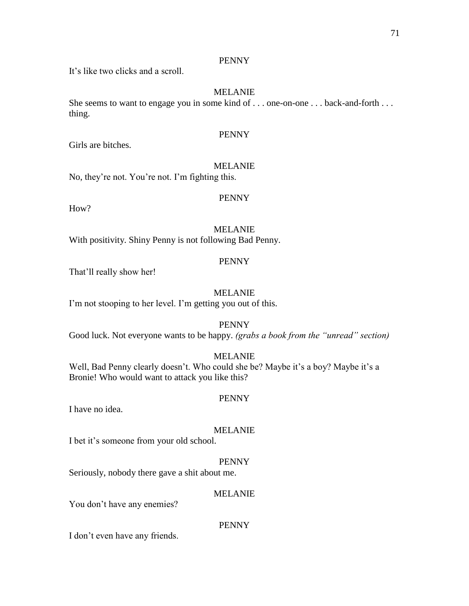It's like two clicks and a scroll.

# MELANIE

She seems to want to engage you in some kind of . . . one-on-one . . . back-and-forth . . . thing.

# PENNY

Girls are bitches.

# MELANIE

No, they're not. You're not. I'm fighting this.

# PENNY

How?

### MELANIE

With positivity. Shiny Penny is not following Bad Penny.

### PENNY

That'll really show her!

### MELANIE

I'm not stooping to her level. I'm getting you out of this.

### PENNY

Good luck. Not everyone wants to be happy. *(grabs a book from the "unread" section)*

# MELANIE

Well, Bad Penny clearly doesn't. Who could she be? Maybe it's a boy? Maybe it's a Bronie! Who would want to attack you like this?

# PENNY

I have no idea.

# MELANIE

I bet it's someone from your old school.

### PENNY

Seriously, nobody there gave a shit about me.

# MELANIE

You don't have any enemies?

# PENNY

I don't even have any friends.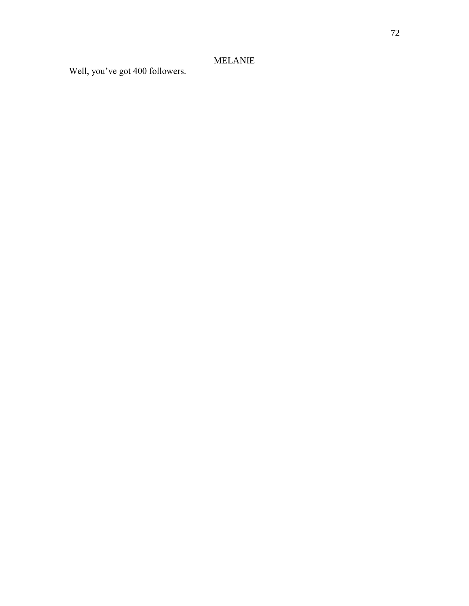Well, you've got 400 followers.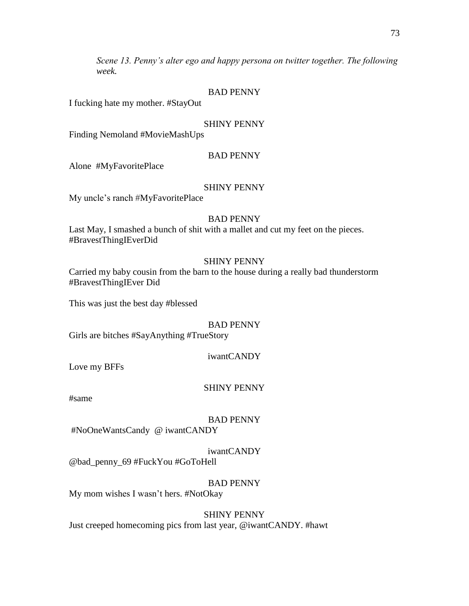*Scene 13. Penny's alter ego and happy persona on twitter together. The following week.* 

## BAD PENNY

I fucking hate my mother. #StayOut

## SHINY PENNY

Finding Nemoland #MovieMashUps

## BAD PENNY

Alone #MyFavoritePlace

## SHINY PENNY

My uncle's ranch #MyFavoritePlace

## BAD PENNY

Last May, I smashed a bunch of shit with a mallet and cut my feet on the pieces. #BravestThingIEverDid

## SHINY PENNY

Carried my baby cousin from the barn to the house during a really bad thunderstorm #BravestThingIEver Did

This was just the best day #blessed

## BAD PENNY

Girls are bitches #SayAnything #TrueStory

## iwantCANDY

Love my BFFs

## SHINY PENNY

#same

## BAD PENNY

#NoOneWantsCandy @ iwantCANDY

## iwantCANDY

@bad\_penny\_69 #FuckYou #GoToHell

## BAD PENNY

My mom wishes I wasn't hers. #NotOkay

## SHINY PENNY

Just creeped homecoming pics from last year, @iwantCANDY. #hawt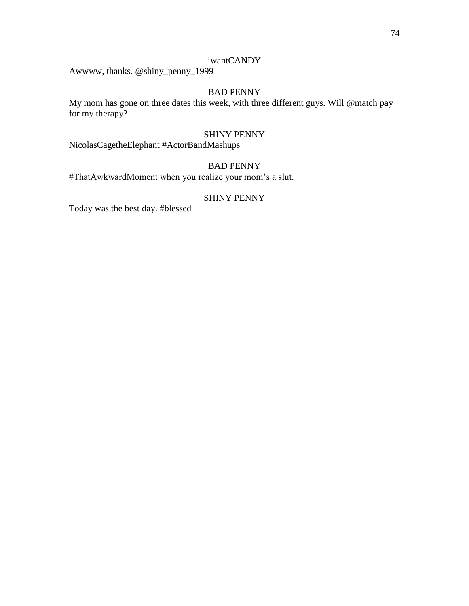## iwantCANDY

Awwww, thanks. @shiny\_penny\_1999

## BAD PENNY

My mom has gone on three dates this week, with three different guys. Will @match pay for my therapy?

#### SHINY PENNY

NicolasCagetheElephant #ActorBandMashups

# BAD PENNY

#ThatAwkwardMoment when you realize your mom's a slut.

## SHINY PENNY

Today was the best day. #blessed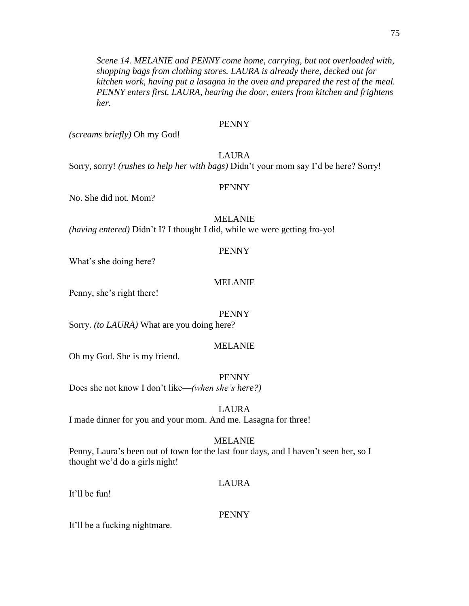*Scene 14. MELANIE and PENNY come home, carrying, but not overloaded with, shopping bags from clothing stores. LAURA is already there, decked out for kitchen work, having put a lasagna in the oven and prepared the rest of the meal. PENNY enters first. LAURA, hearing the door, enters from kitchen and frightens her.*

## PENNY

*(screams briefly)* Oh my God!

## LAURA

Sorry, sorry! *(rushes to help her with bags)* Didn't your mom say I'd be here? Sorry!

## PENNY

No. She did not. Mom?

## MELANIE

*(having entered)* Didn't I? I thought I did, while we were getting fro-yo!

## PENNY

What's she doing here?

## MELANIE

Penny, she's right there!

### PENNY

Sorry. *(to LAURA)* What are you doing here?

## MELANIE

Oh my God. She is my friend.

PENNY

Does she not know I don't like—*(when she's here?)*

LAURA

I made dinner for you and your mom. And me. Lasagna for three!

### MELANIE

Penny, Laura's been out of town for the last four days, and I haven't seen her, so I thought we'd do a girls night!

## LAURA

It'll be fun!

### PENNY

It'll be a fucking nightmare.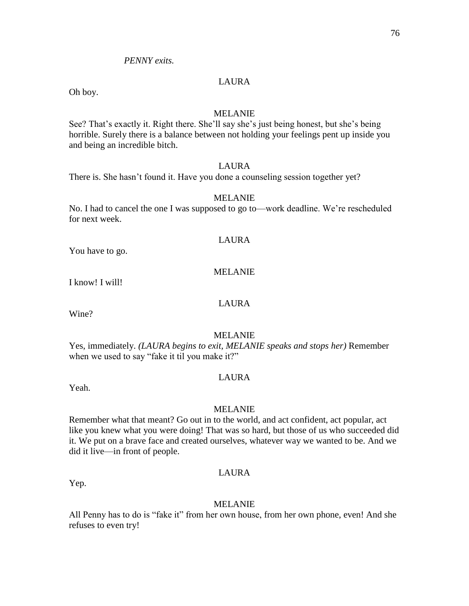## *PENNY exits.*

## LAURA

Oh boy.

#### MELANIE

See? That's exactly it. Right there. She'll say she's just being honest, but she's being horrible. Surely there is a balance between not holding your feelings pent up inside you and being an incredible bitch.

## LAURA

There is. She hasn't found it. Have you done a counseling session together yet?

## MELANIE

No. I had to cancel the one I was supposed to go to—work deadline. We're rescheduled for next week.

#### LAURA

You have to go.

## MELANIE

I know! I will!

## LAURA

Wine?

#### MELANIE

Yes, immediately. *(LAURA begins to exit, MELANIE speaks and stops her)* Remember when we used to say "fake it til you make it?"

#### LAURA

Yeah.

#### MELANIE

Remember what that meant? Go out in to the world, and act confident, act popular, act like you knew what you were doing! That was so hard, but those of us who succeeded did it. We put on a brave face and created ourselves, whatever way we wanted to be. And we did it live—in front of people.

Yep.

LAURA

## MELANIE

All Penny has to do is "fake it" from her own house, from her own phone, even! And she refuses to even try!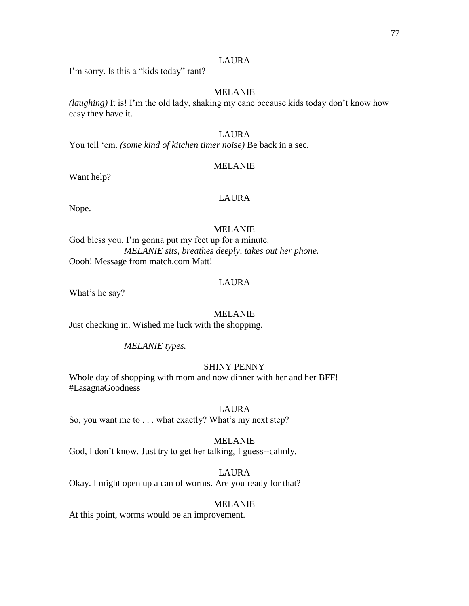## LAURA

I'm sorry. Is this a "kids today" rant?

## MELANIE

*(laughing)* It is! I'm the old lady, shaking my cane because kids today don't know how easy they have it.

## LAURA

You tell 'em. *(some kind of kitchen timer noise)* Be back in a sec.

## MELANIE

Want help?

## LAURA

Nope.

## MELANIE

God bless you. I'm gonna put my feet up for a minute. *MELANIE sits, breathes deeply, takes out her phone.* Oooh! Message from match.com Matt!

## LAURA

What's he say?

### MELANIE

Just checking in. Wished me luck with the shopping.

### *MELANIE types.*

## SHINY PENNY

Whole day of shopping with mom and now dinner with her and her BFF! #LasagnaGoodness

## LAURA

So, you want me to . . . what exactly? What's my next step?

### MELANIE

God, I don't know. Just try to get her talking, I guess--calmly.

# LAURA

Okay. I might open up a can of worms. Are you ready for that?

### MELANIE

At this point, worms would be an improvement.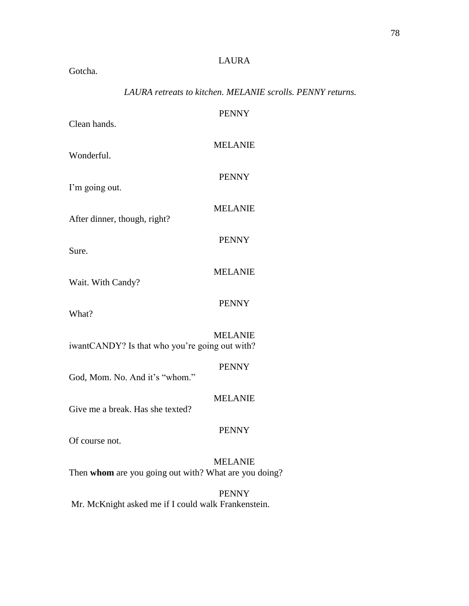# LAURA

Gotcha.

# *LAURA retreats to kitchen. MELANIE scrolls. PENNY returns.*

| Clean hands.                                          | <b>PENNY</b>   |
|-------------------------------------------------------|----------------|
| Wonderful.                                            | <b>MELANIE</b> |
| I'm going out.                                        | <b>PENNY</b>   |
|                                                       | <b>MELANIE</b> |
| After dinner, though, right?                          | <b>PENNY</b>   |
| Sure.                                                 | <b>MELANIE</b> |
| Wait. With Candy?                                     | <b>PENNY</b>   |
| What?                                                 |                |
| iwantCANDY? Is that who you're going out with?        | <b>MELANIE</b> |
| God, Mom. No. And it's "whom."                        | <b>PENNY</b>   |
| Give me a break. Has she texted?                      | <b>MELANIE</b> |
| Of course not.                                        | <b>PENNY</b>   |
| Then whom are you going out with? What are you doing? | <b>MELANIE</b> |
|                                                       | <b>PENNY</b>   |

Mr. McKnight asked me if I could walk Frankenstein.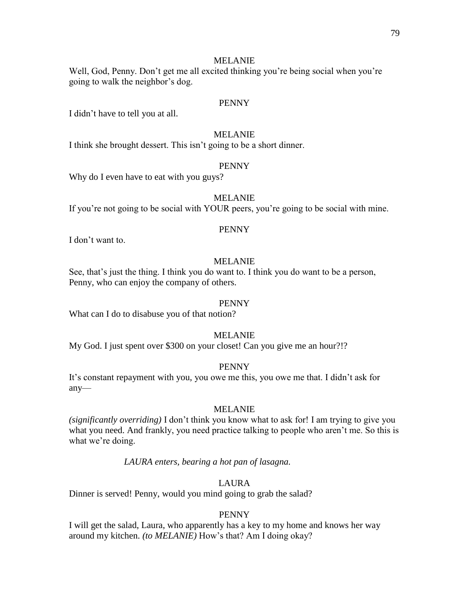## MELANIE

Well, God, Penny. Don't get me all excited thinking you're being social when you're going to walk the neighbor's dog.

#### PENNY

I didn't have to tell you at all.

## MELANIE

I think she brought dessert. This isn't going to be a short dinner.

### PENNY

Why do I even have to eat with you guys?

## MELANIE

If you're not going to be social with YOUR peers, you're going to be social with mine.

#### PENNY

I don't want to.

## MELANIE

See, that's just the thing. I think you do want to. I think you do want to be a person, Penny, who can enjoy the company of others.

#### PENNY

What can I do to disabuse you of that notion?

#### MELANIE

My God. I just spent over \$300 on your closet! Can you give me an hour?!?

## PENNY

It's constant repayment with you, you owe me this, you owe me that. I didn't ask for any—

## MELANIE

*(significantly overriding)* I don't think you know what to ask for! I am trying to give you what you need. And frankly, you need practice talking to people who aren't me. So this is what we're doing.

*LAURA enters, bearing a hot pan of lasagna.*

#### LAURA

Dinner is served! Penny, would you mind going to grab the salad?

#### PENNY

I will get the salad, Laura, who apparently has a key to my home and knows her way around my kitchen. *(to MELANIE)* How's that? Am I doing okay?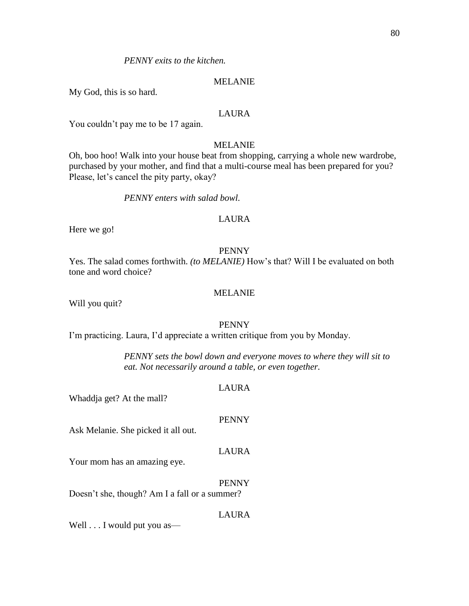*PENNY exits to the kitchen.* 

#### MELANIE

My God, this is so hard.

## LAURA

You couldn't pay me to be 17 again.

## MELANIE

Oh, boo hoo! Walk into your house beat from shopping, carrying a whole new wardrobe, purchased by your mother, and find that a multi-course meal has been prepared for you? Please, let's cancel the pity party, okay?

#### *PENNY enters with salad bowl.*

## LAURA

Here we go!

#### PENNY

Yes. The salad comes forthwith. *(to MELANIE)* How's that? Will I be evaluated on both tone and word choice?

#### MELANIE

Will you quit?

## PENNY

I'm practicing. Laura, I'd appreciate a written critique from you by Monday.

*PENNY sets the bowl down and everyone moves to where they will sit to eat. Not necessarily around a table, or even together.*

#### LAURA

Whaddja get? At the mall?

#### PENNY

Ask Melanie. She picked it all out.

#### LAURA

Your mom has an amazing eye.

#### PENNY

Doesn't she, though? Am I a fall or a summer?

#### LAURA

Well . . . I would put you as—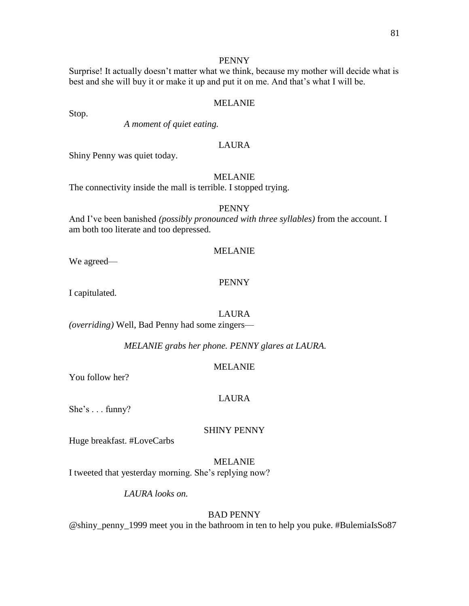Surprise! It actually doesn't matter what we think, because my mother will decide what is best and she will buy it or make it up and put it on me. And that's what I will be.

#### MELANIE

*A moment of quiet eating.*

## LAURA

Shiny Penny was quiet today.

## MELANIE

The connectivity inside the mall is terrible. I stopped trying.

#### PENNY

And I've been banished *(possibly pronounced with three syllables)* from the account. I am both too literate and too depressed.

#### MELANIE

We agreed—

Stop.

## PENNY

I capitulated.

#### LAURA

*(overriding)* Well, Bad Penny had some zingers—

*MELANIE grabs her phone. PENNY glares at LAURA.*

#### MELANIE

You follow her?

#### LAURA

She's . . . funny?

## SHINY PENNY

Huge breakfast. #LoveCarbs

## MELANIE

I tweeted that yesterday morning. She's replying now?

*LAURA looks on.*

## BAD PENNY

@shiny\_penny\_1999 meet you in the bathroom in ten to help you puke. #BulemiaIsSo87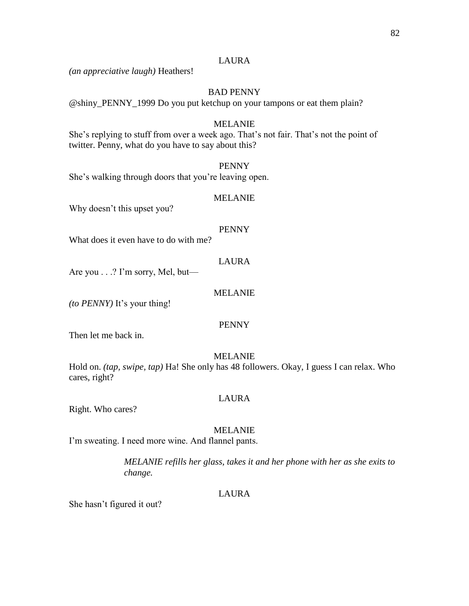## LAURA

*(an appreciative laugh)* Heathers!

## BAD PENNY

@shiny\_PENNY\_1999 Do you put ketchup on your tampons or eat them plain?

#### MELANIE

She's replying to stuff from over a week ago. That's not fair. That's not the point of twitter. Penny, what do you have to say about this?

#### PENNY

She's walking through doors that you're leaving open.

#### MELANIE

Why doesn't this upset you?

#### PENNY

What does it even have to do with me?

## LAURA

Are you . . .? I'm sorry, Mel, but—

### MELANIE

*(to PENNY)* It's your thing!

## PENNY

Then let me back in.

#### MELANIE

Hold on. *(tap, swipe, tap)* Ha! She only has 48 followers. Okay, I guess I can relax. Who cares, right?

#### LAURA

Right. Who cares?

### MELANIE

I'm sweating. I need more wine. And flannel pants.

*MELANIE refills her glass, takes it and her phone with her as she exits to change.*

## LAURA

She hasn't figured it out?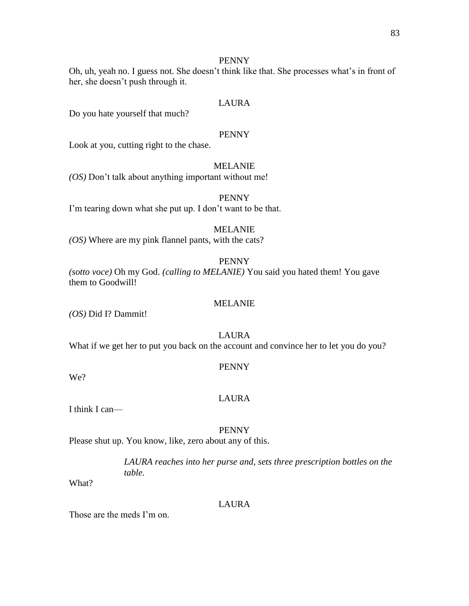Oh, uh, yeah no. I guess not. She doesn't think like that. She processes what's in front of her, she doesn't push through it.

#### LAURA

Do you hate yourself that much?

## PENNY

Look at you, cutting right to the chase.

## MELANIE

*(OS)* Don't talk about anything important without me!

## PENNY

I'm tearing down what she put up. I don't want to be that.

## MELANIE

*(OS)* Where are my pink flannel pants, with the cats?

### PENNY

*(sotto voce)* Oh my God. *(calling to MELANIE)* You said you hated them! You gave them to Goodwill!

#### MELANIE

*(OS)* Did I? Dammit!

#### LAURA

What if we get her to put you back on the account and convince her to let you do you?

#### We?

# PENNY

#### LAURA

I think I can—

#### PENNY

Please shut up. You know, like, zero about any of this.

*LAURA reaches into her purse and, sets three prescription bottles on the table.*

What?

#### LAURA

Those are the meds I'm on.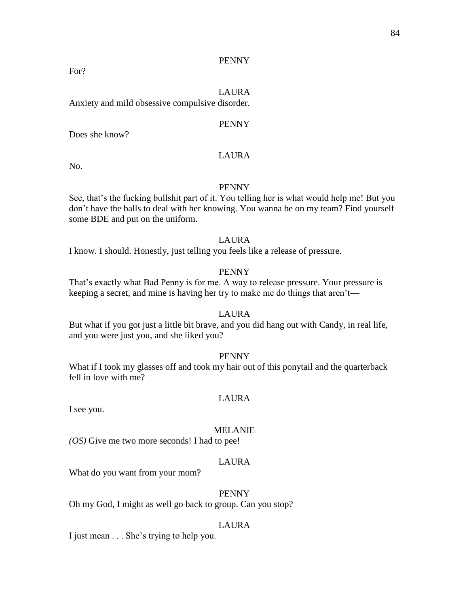For?

## LAURA

Anxiety and mild obsessive compulsive disorder.

## PENNY

Does she know?

## LAURA

No.

## PENNY

See, that's the fucking bullshit part of it. You telling her is what would help me! But you don't have the balls to deal with her knowing. You wanna be on my team? Find yourself some BDE and put on the uniform.

## LAURA

I know. I should. Honestly, just telling you feels like a release of pressure.

#### PENNY

That's exactly what Bad Penny is for me. A way to release pressure. Your pressure is keeping a secret, and mine is having her try to make me do things that aren't—

#### LAURA

But what if you got just a little bit brave, and you did hang out with Candy, in real life, and you were just you, and she liked you?

## PENNY

What if I took my glasses off and took my hair out of this ponytail and the quarterback fell in love with me?

## LAURA

I see you.

#### MELANIE

*(OS)* Give me two more seconds! I had to pee!

#### LAURA

What do you want from your mom?

## PENNY

Oh my God, I might as well go back to group. Can you stop?

### LAURA

I just mean . . . She's trying to help you.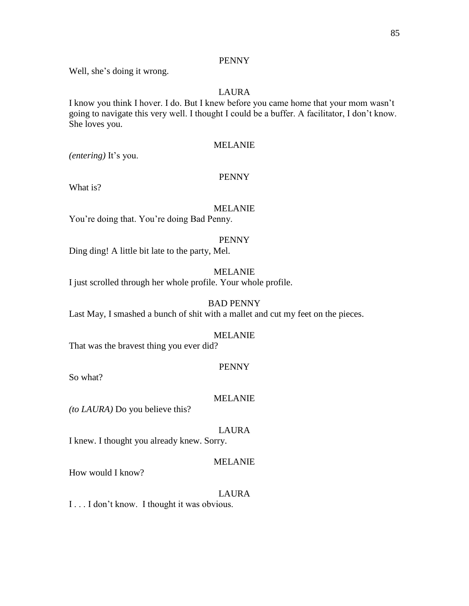Well, she's doing it wrong.

## LAURA

I know you think I hover. I do. But I knew before you came home that your mom wasn't going to navigate this very well. I thought I could be a buffer. A facilitator, I don't know. She loves you.

## MELANIE

*(entering)* It's you.

## PENNY

What is?

## MELANIE

You're doing that. You're doing Bad Penny.

## PENNY

Ding ding! A little bit late to the party, Mel.

### MELANIE

I just scrolled through her whole profile. Your whole profile.

## BAD PENNY

Last May, I smashed a bunch of shit with a mallet and cut my feet on the pieces.

### MELANIE

That was the bravest thing you ever did?

## PENNY

So what?

## MELANIE

*(to LAURA)* Do you believe this?

## LAURA

I knew. I thought you already knew. Sorry.

## MELANIE

How would I know?

### LAURA

I . . . I don't know. I thought it was obvious.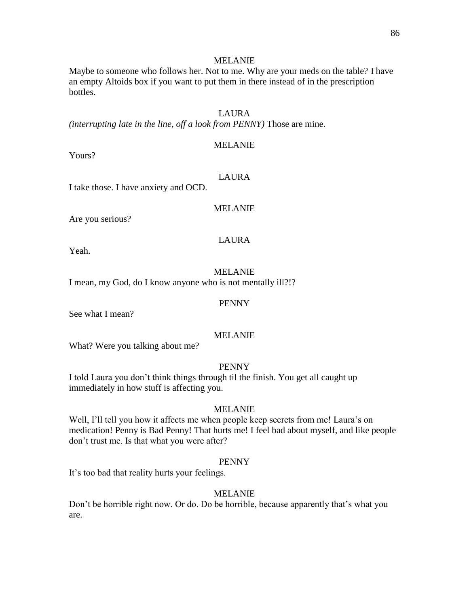#### MELANIE

Maybe to someone who follows her. Not to me. Why are your meds on the table? I have an empty Altoids box if you want to put them in there instead of in the prescription bottles.

## LAURA

*(interrupting late in the line, off a look from PENNY)* Those are mine.

## MELANIE

Yours?

## LAURA

I take those. I have anxiety and OCD.

### MELANIE

Are you serious?

## LAURA

Yeah.

#### MELANIE

I mean, my God, do I know anyone who is not mentally ill?!?

#### PENNY

See what I mean?

#### MELANIE

What? Were you talking about me?

## PENNY

I told Laura you don't think things through til the finish. You get all caught up immediately in how stuff is affecting you.

## MELANIE

Well, I'll tell you how it affects me when people keep secrets from me! Laura's on medication! Penny is Bad Penny! That hurts me! I feel bad about myself, and like people don't trust me. Is that what you were after?

#### PENNY

It's too bad that reality hurts your feelings.

## MELANIE

Don't be horrible right now. Or do. Do be horrible, because apparently that's what you are.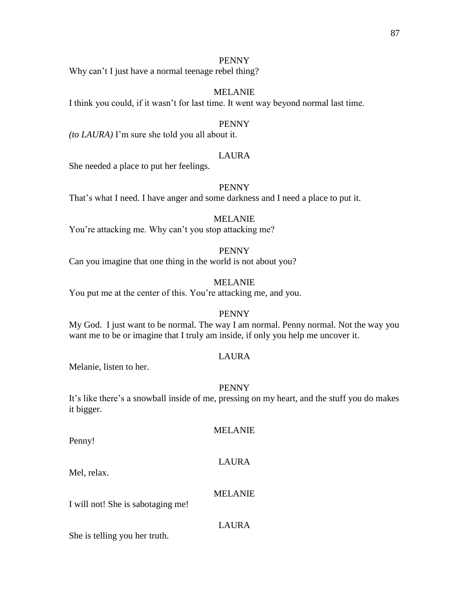Why can't I just have a normal teenage rebel thing?

## MELANIE

I think you could, if it wasn't for last time. It went way beyond normal last time.

#### PENNY

*(to LAURA)* I'm sure she told you all about it.

## LAURA

She needed a place to put her feelings.

#### PENNY

That's what I need. I have anger and some darkness and I need a place to put it.

## MELANIE

You're attacking me. Why can't you stop attacking me?

#### PENNY

Can you imagine that one thing in the world is not about you?

## MELANIE

You put me at the center of this. You're attacking me, and you.

#### PENNY

My God. I just want to be normal. The way I am normal. Penny normal. Not the way you want me to be or imagine that I truly am inside, if only you help me uncover it.

### LAURA

Melanie, listen to her.

## PENNY

It's like there's a snowball inside of me, pressing on my heart, and the stuff you do makes it bigger.

MELANIE

Penny!

# LAURA

Mel, relax.

## MELANIE

I will not! She is sabotaging me!

## LAURA

She is telling you her truth.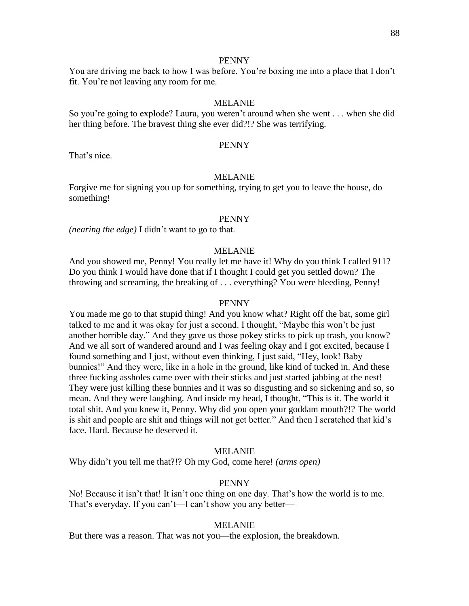You are driving me back to how I was before. You're boxing me into a place that I don't fit. You're not leaving any room for me.

#### MELANIE

So you're going to explode? Laura, you weren't around when she went . . . when she did her thing before. The bravest thing she ever did?!? She was terrifying.

#### PENNY

That's nice.

#### MELANIE

Forgive me for signing you up for something, trying to get you to leave the house, do something!

#### PENNY

*(nearing the edge)* I didn't want to go to that.

#### MELANIE

And you showed me, Penny! You really let me have it! Why do you think I called 911? Do you think I would have done that if I thought I could get you settled down? The throwing and screaming, the breaking of . . . everything? You were bleeding, Penny!

#### PENNY

You made me go to that stupid thing! And you know what? Right off the bat, some girl talked to me and it was okay for just a second. I thought, "Maybe this won't be just another horrible day." And they gave us those pokey sticks to pick up trash, you know? And we all sort of wandered around and I was feeling okay and I got excited, because I found something and I just, without even thinking, I just said, "Hey, look! Baby bunnies!" And they were, like in a hole in the ground, like kind of tucked in. And these three fucking assholes came over with their sticks and just started jabbing at the nest! They were just killing these bunnies and it was so disgusting and so sickening and so, so mean. And they were laughing. And inside my head, I thought, "This is it. The world it total shit. And you knew it, Penny. Why did you open your goddam mouth?!? The world is shit and people are shit and things will not get better." And then I scratched that kid's face. Hard. Because he deserved it.

#### MELANIE

Why didn't you tell me that?!? Oh my God, come here! *(arms open)*

#### PENNY

No! Because it isn't that! It isn't one thing on one day. That's how the world is to me. That's everyday. If you can't—I can't show you any better—

#### MELANIE

But there was a reason. That was not you—the explosion, the breakdown.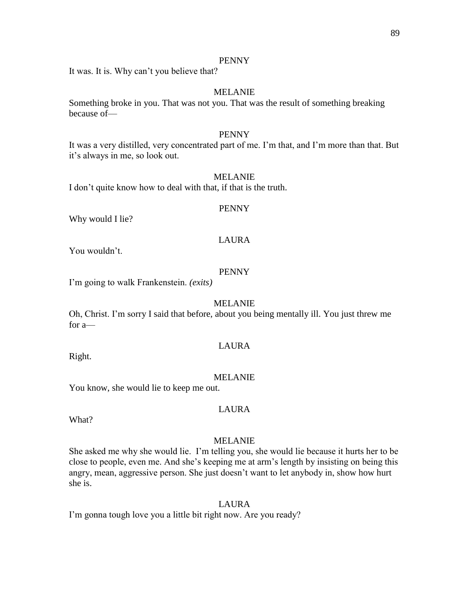It was. It is. Why can't you believe that?

## MELANIE

Something broke in you. That was not you. That was the result of something breaking because of—

## PENNY

It was a very distilled, very concentrated part of me. I'm that, and I'm more than that. But it's always in me, so look out.

## MELANIE

I don't quite know how to deal with that, if that is the truth.

#### PENNY

Why would I lie?

## LAURA

You wouldn't.

## PENNY

I'm going to walk Frankenstein. *(exits)*

#### MELANIE

Oh, Christ. I'm sorry I said that before, about you being mentally ill. You just threw me for a—

## LAURA

Right.

#### MELANIE

You know, she would lie to keep me out.

#### LAURA

What?

#### MELANIE

She asked me why she would lie. I'm telling you, she would lie because it hurts her to be close to people, even me. And she's keeping me at arm's length by insisting on being this angry, mean, aggressive person. She just doesn't want to let anybody in, show how hurt she is.

#### LAURA

I'm gonna tough love you a little bit right now. Are you ready?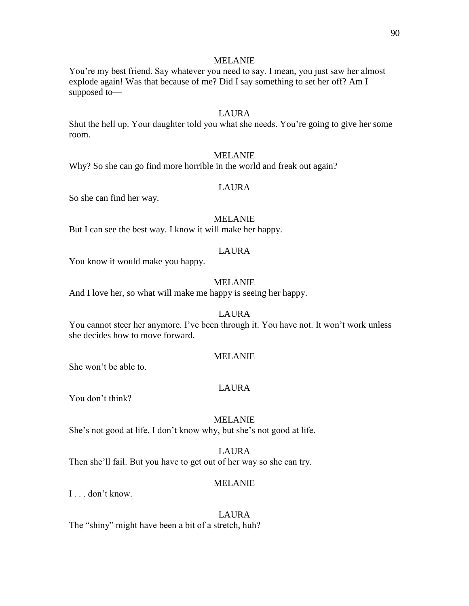#### MELANIE

You're my best friend. Say whatever you need to say. I mean, you just saw her almost explode again! Was that because of me? Did I say something to set her off? Am I supposed to—

## LAURA

Shut the hell up. Your daughter told you what she needs. You're going to give her some room.

#### MELANIE

Why? So she can go find more horrible in the world and freak out again?

#### LAURA

So she can find her way.

## MELANIE

But I can see the best way. I know it will make her happy.

#### LAURA

You know it would make you happy.

## MELANIE

And I love her, so what will make me happy is seeing her happy.

#### LAURA

You cannot steer her anymore. I've been through it. You have not. It won't work unless she decides how to move forward.

#### MELANIE

She won't be able to.

#### LAURA

You don't think?

#### MELANIE

She's not good at life. I don't know why, but she's not good at life.

#### LAURA

Then she'll fail. But you have to get out of her way so she can try.

#### MELANIE

I . . . don't know.

#### LAURA

The "shiny" might have been a bit of a stretch, huh?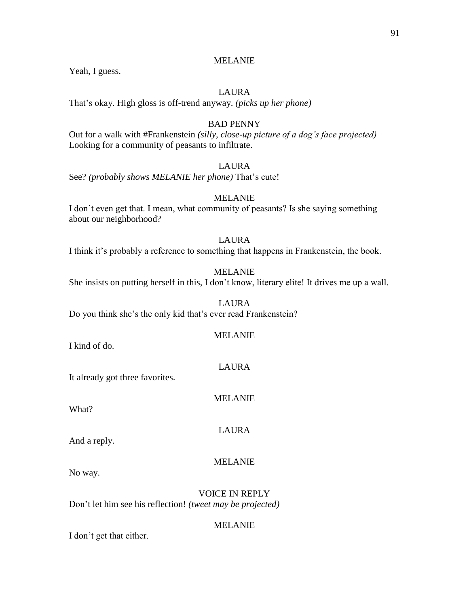## MELANIE

Yeah, I guess.

## LAURA

That's okay. High gloss is off-trend anyway. *(picks up her phone)*

## BAD PENNY

Out for a walk with #Frankenstein *(silly, close-up picture of a dog's face projected)*  Looking for a community of peasants to infiltrate.

## LAURA

See? *(probably shows MELANIE her phone)* That's cute!

## MELANIE

I don't even get that. I mean, what community of peasants? Is she saying something about our neighborhood?

## LAURA

I think it's probably a reference to something that happens in Frankenstein, the book.

## MELANIE

She insists on putting herself in this, I don't know, literary elite! It drives me up a wall.

#### LAURA

Do you think she's the only kid that's ever read Frankenstein?

### MELANIE

I kind of do.

It already got three favorites.

What?

And a reply.

### MELANIE

No way.

VOICE IN REPLY Don't let him see his reflection! *(tweet may be projected)*

### MELANIE

I don't get that either.

LAURA

MELANIE

LAURA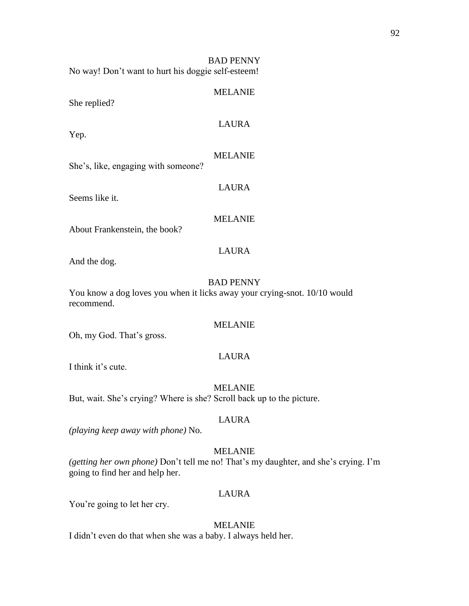BAD PENNY No way! Don't want to hurt his doggie self-esteem!

## MELANIE

She replied?

## LAURA

Yep.

#### MELANIE

LAURA

She's, like, engaging with someone?

Seems like it.

## MELANIE

LAURA

About Frankenstein, the book?

#### And the dog.

## BAD PENNY

You know a dog loves you when it licks away your crying-snot. 10/10 would recommend.

## MELANIE

Oh, my God. That's gross.

## LAURA

I think it's cute.

#### MELANIE

But, wait. She's crying? Where is she? Scroll back up to the picture.

#### LAURA

*(playing keep away with phone)* No.

### MELANIE

*(getting her own phone)* Don't tell me no! That's my daughter, and she's crying. I'm going to find her and help her.

## LAURA

You're going to let her cry.

#### MELANIE

I didn't even do that when she was a baby. I always held her.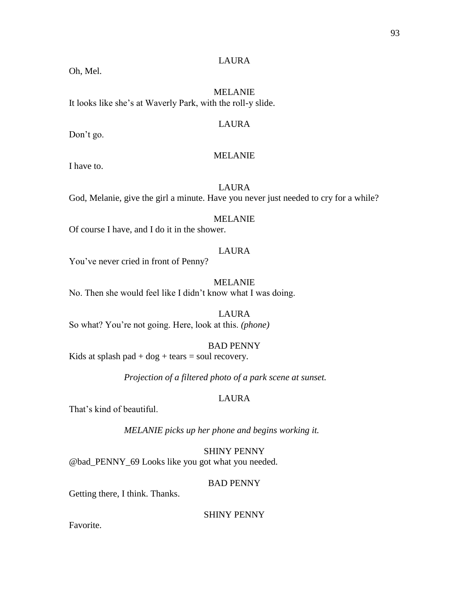## LAURA

Oh, Mel.

MELANIE It looks like she's at Waverly Park, with the roll-y slide.

#### LAURA

Don't go.

## MELANIE

I have to.

LAURA God, Melanie, give the girl a minute. Have you never just needed to cry for a while?

## MELANIE

Of course I have, and I do it in the shower.

#### LAURA

You've never cried in front of Penny?

MELANIE

No. Then she would feel like I didn't know what I was doing.

LAURA So what? You're not going. Here, look at this. *(phone)*

### BAD PENNY

Kids at splash pad  $+$  dog  $+$  tears  $=$  soul recovery.

*Projection of a filtered photo of a park scene at sunset.*

## LAURA

That's kind of beautiful.

*MELANIE picks up her phone and begins working it.*

SHINY PENNY @bad\_PENNY\_69 Looks like you got what you needed.

#### BAD PENNY

Getting there, I think. Thanks.

SHINY PENNY

Favorite.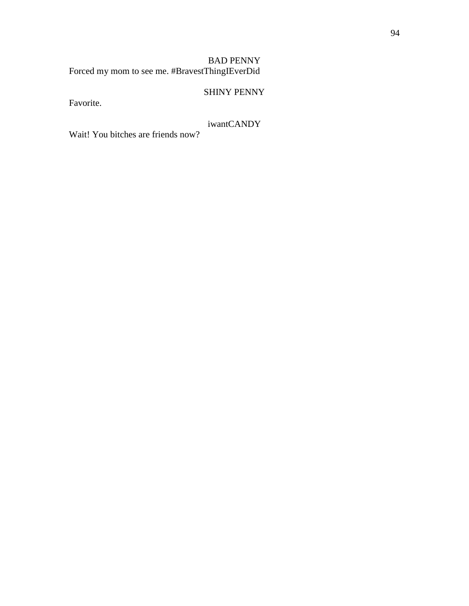BAD PENNY Forced my mom to see me. #BravestThingIEverDid

# SHINY PENNY

Favorite.

# iwantCANDY

Wait! You bitches are friends now?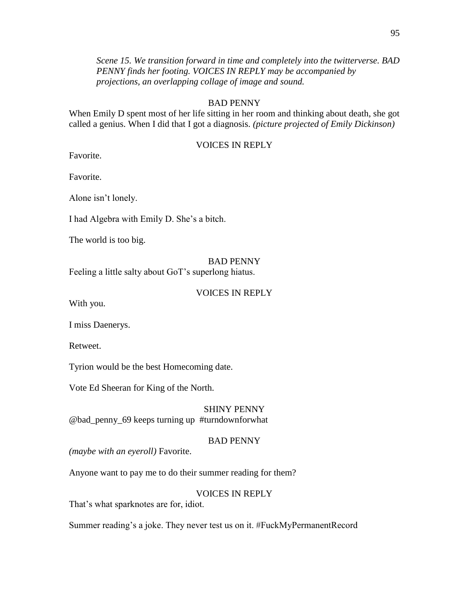*Scene 15. We transition forward in time and completely into the twitterverse. BAD PENNY finds her footing. VOICES IN REPLY may be accompanied by projections, an overlapping collage of image and sound.*

## BAD PENNY

When Emily D spent most of her life sitting in her room and thinking about death, she got called a genius. When I did that I got a diagnosis. *(picture projected of Emily Dickinson)*

## VOICES IN REPLY

Favorite.

Favorite.

Alone isn't lonely.

I had Algebra with Emily D. She's a bitch.

The world is too big.

#### BAD PENNY

Feeling a little salty about GoT's superlong hiatus.

#### VOICES IN REPLY

With you.

I miss Daenerys.

Retweet.

Tyrion would be the best Homecoming date.

Vote Ed Sheeran for King of the North.

SHINY PENNY @bad\_penny\_69 keeps turning up #turndownforwhat

#### BAD PENNY

*(maybe with an eyeroll)* Favorite.

Anyone want to pay me to do their summer reading for them?

## VOICES IN REPLY

That's what sparknotes are for, idiot.

Summer reading's a joke. They never test us on it. #FuckMyPermanentRecord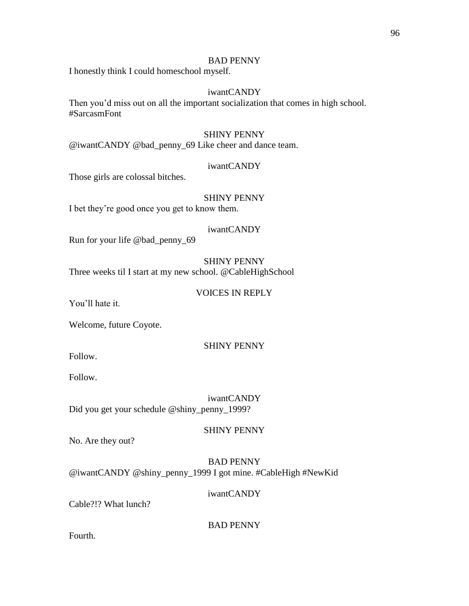#### BAD PENNY

I honestly think I could homeschool myself.

## iwantCANDY

Then you'd miss out on all the important socialization that comes in high school. #SarcasmFont

## SHINY PENNY

@iwantCANDY @bad\_penny\_69 Like cheer and dance team.

#### iwantCANDY

Those girls are colossal bitches.

## SHINY PENNY

I bet they're good once you get to know them.

## iwantCANDY

Run for your life @bad\_penny\_69

## SHINY PENNY

Three weeks til I start at my new school. @CableHighSchool

#### VOICES IN REPLY

You'll hate it.

Welcome, future Coyote.

## SHINY PENNY

Follow.

Follow.

iwantCANDY Did you get your schedule @shiny\_penny\_1999?

#### SHINY PENNY

No. Are they out?

## BAD PENNY @iwantCANDY @shiny\_penny\_1999 I got mine. #CableHigh #NewKid

iwantCANDY

Cable?!? What lunch?

#### BAD PENNY

Fourth.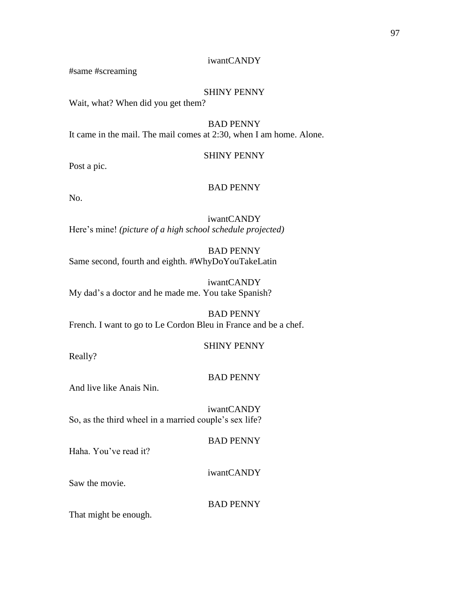## iwantCANDY

#same #screaming

## SHINY PENNY

Wait, what? When did you get them?

BAD PENNY It came in the mail. The mail comes at 2:30, when I am home. Alone.

## SHINY PENNY

Post a pic.

## BAD PENNY

No.

iwantCANDY Here's mine! *(picture of a high school schedule projected)*

BAD PENNY Same second, fourth and eighth. #WhyDoYouTakeLatin

iwantCANDY My dad's a doctor and he made me. You take Spanish?

BAD PENNY French. I want to go to Le Cordon Bleu in France and be a chef.

### SHINY PENNY

Really?

### BAD PENNY

And live like Anais Nin.

iwantCANDY So, as the third wheel in a married couple's sex life?

BAD PENNY

Haha. You've read it?

iwantCANDY

Saw the movie.

BAD PENNY

That might be enough.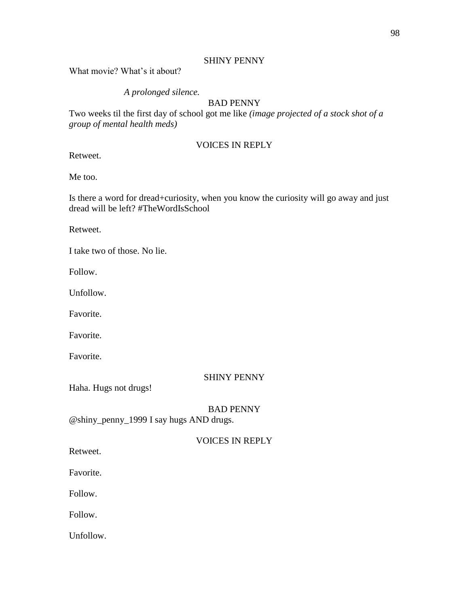## SHINY PENNY

What movie? What's it about?

## *A prolonged silence.*

## BAD PENNY

Two weeks til the first day of school got me like *(image projected of a stock shot of a group of mental health meds)*

## VOICES IN REPLY

Retweet.

Me too.

Is there a word for dread+curiosity, when you know the curiosity will go away and just dread will be left? #TheWordIsSchool

Retweet.

I take two of those. No lie.

Follow.

Unfollow.

Favorite.

Favorite.

Favorite.

### SHINY PENNY

Haha. Hugs not drugs!

## BAD PENNY

@shiny\_penny\_1999 I say hugs AND drugs.

# VOICES IN REPLY

Retweet.

Favorite.

Follow.

Follow.

Unfollow.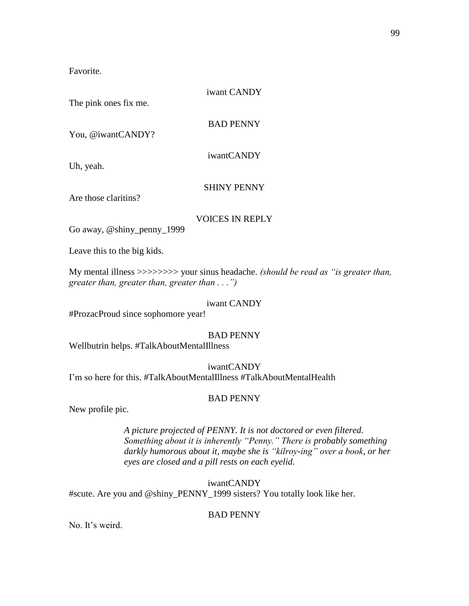Favorite.

iwant CANDY The pink ones fix me. BAD PENNY

You, @iwantCANDY?

iwantCANDY

Uh, yeah.

SHINY PENNY

Are those claritins?

VOICES IN REPLY

Go away, @shiny\_penny\_1999

Leave this to the big kids.

My mental illness >>>>>>>> your sinus headache. *(should be read as "is greater than, greater than, greater than, greater than . . .")*

## iwant CANDY

#ProzacProud since sophomore year!

## BAD PENNY

Wellbutrin helps. #TalkAboutMentalIllness

iwantCANDY

I'm so here for this. #TalkAboutMentalIllness #TalkAboutMentalHealth

## BAD PENNY

New profile pic.

*A picture projected of PENNY. It is not doctored or even filtered. Something about it is inherently "Penny." There is probably something darkly humorous about it, maybe she is "kilroy-ing" over a book, or her eyes are closed and a pill rests on each eyelid.*

iwantCANDY #scute. Are you and @shiny\_PENNY\_1999 sisters? You totally look like her.

## BAD PENNY

No. It's weird.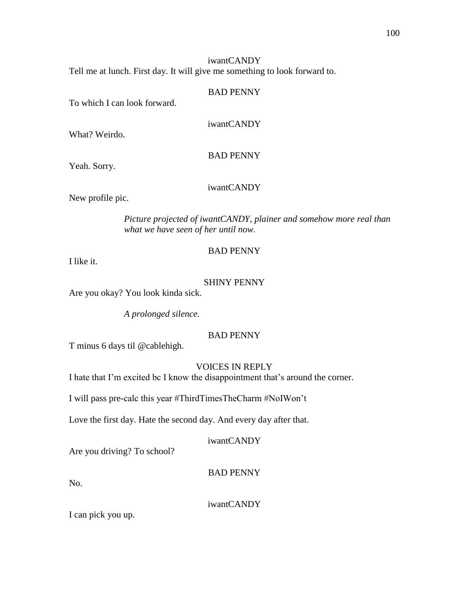### BAD PENNY

To which I can look forward.

iwantCANDY

What? Weirdo.

BAD PENNY

Yeah. Sorry.

iwantCANDY

New profile pic.

*Picture projected of iwantCANDY, plainer and somehow more real than what we have seen of her until now.*

## BAD PENNY

I like it.

## SHINY PENNY

Are you okay? You look kinda sick.

*A prolonged silence.*

## BAD PENNY

T minus 6 days til @cablehigh.

## VOICES IN REPLY

I hate that I'm excited bc I know the disappointment that's around the corner.

I will pass pre-calc this year #ThirdTimesTheCharm #NoIWon't

Love the first day. Hate the second day. And every day after that.

## iwantCANDY

Are you driving? To school?

BAD PENNY

No.

iwantCANDY

I can pick you up.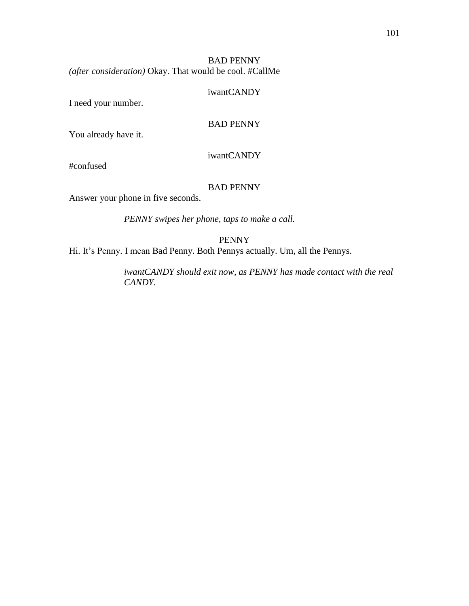## BAD PENNY *(after consideration)* Okay. That would be cool. #CallMe

#### iwantCANDY

I need your number.

## BAD PENNY

You already have it.

## iwantCANDY

#confused

## BAD PENNY

Answer your phone in five seconds.

*PENNY swipes her phone, taps to make a call.*

PENNY

Hi. It's Penny. I mean Bad Penny. Both Pennys actually. Um, all the Pennys.

*iwantCANDY should exit now, as PENNY has made contact with the real CANDY.*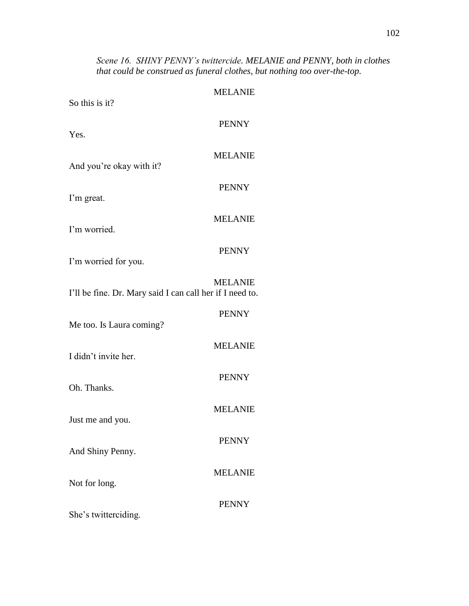# *Scene 16. SHINY PENNY's twittercide. MELANIE and PENNY, both in clothes that could be construed as funeral clothes, but nothing too over-the-top.*

| So this is it?                                           | <b>MELANIE</b> |
|----------------------------------------------------------|----------------|
| Yes.                                                     | <b>PENNY</b>   |
| And you're okay with it?                                 | <b>MELANIE</b> |
| I'm great.                                               | <b>PENNY</b>   |
| I'm worried.                                             | <b>MELANIE</b> |
| I'm worried for you.                                     | <b>PENNY</b>   |
| I'll be fine. Dr. Mary said I can call her if I need to. | <b>MELANIE</b> |
| Me too. Is Laura coming?                                 | <b>PENNY</b>   |
| I didn't invite her.                                     | <b>MELANIE</b> |
| Oh. Thanks.                                              | <b>PENNY</b>   |
| Just me and you.                                         | <b>MELANIE</b> |
| And Shiny Penny.                                         | <b>PENNY</b>   |
| Not for long.                                            | <b>MELANIE</b> |
| She's twitterciding.                                     | <b>PENNY</b>   |
|                                                          |                |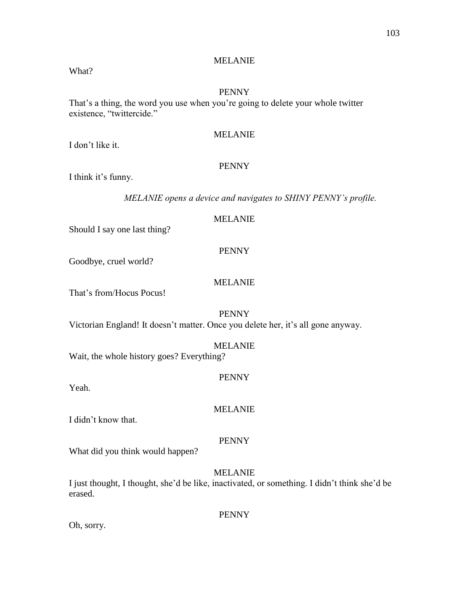## MELANIE

## What?

### PENNY

That's a thing, the word you use when you're going to delete your whole twitter existence, "twittercide."

## MELANIE

I don't like it.

## PENNY

I think it's funny.

*MELANIE opens a device and navigates to SHINY PENNY's profile.*

## MELANIE

Should I say one last thing?

# PENNY

Goodbye, cruel world?

## MELANIE

That's from/Hocus Pocus!

### PENNY

Victorian England! It doesn't matter. Once you delete her, it's all gone anyway.

#### MELANIE

Wait, the whole history goes? Everything?

# PENNY

Yeah.

I didn't know that.

### PENNY

MELANIE

What did you think would happen?

## MELANIE

I just thought, I thought, she'd be like, inactivated, or something. I didn't think she'd be erased.

#### PENNY

Oh, sorry.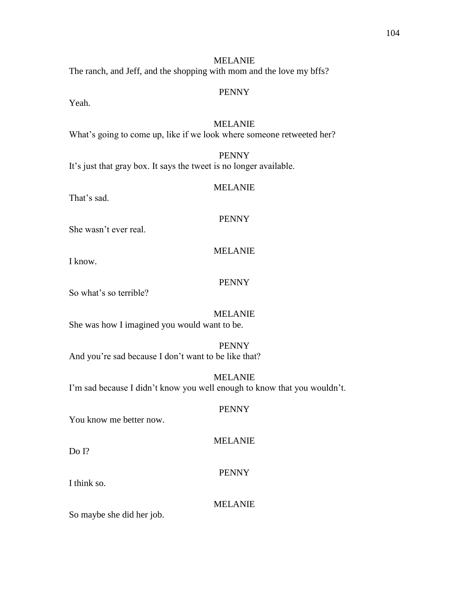## MELANIE

The ranch, and Jeff, and the shopping with mom and the love my bffs?

#### PENNY

Yeah.

## MELANIE

What's going to come up, like if we look where someone retweeted her?

## PENNY

It's just that gray box. It says the tweet is no longer available.

## MELANIE

That's sad.

## PENNY

She wasn't ever real.

# MELANIE

I know.

## PENNY

So what's so terrible?

## MELANIE

She was how I imagined you would want to be.

# PENNY

And you're sad because I don't want to be like that?

MELANIE I'm sad because I didn't know you well enough to know that you wouldn't.

### PENNY

You know me better now.

MELANIE

Do I?

## PENNY

I think so.

#### MELANIE

So maybe she did her job.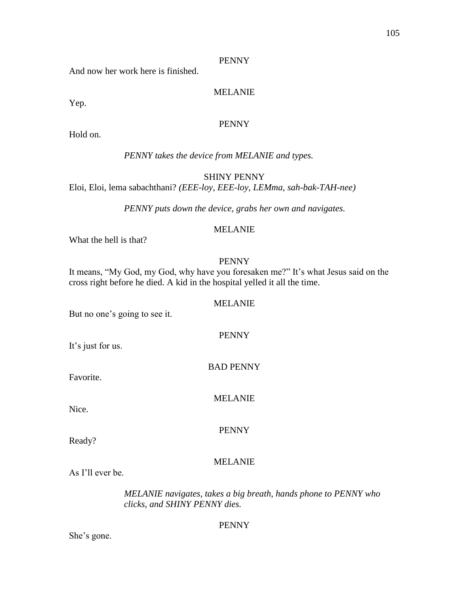And now her work here is finished.

## MELANIE

Yep.

## PENNY

Hold on.

## *PENNY takes the device from MELANIE and types.*

SHINY PENNY

Eloi, Eloi, lema sabachthani? *(EEE-loy, EEE-loy, LEMma, sah-bak-TAH-nee)*

*PENNY puts down the device, grabs her own and navigates.*

## MELANIE

What the hell is that?

## PENNY

It means, "My God, my God, why have you foresaken me?" It's what Jesus said on the cross right before he died. A kid in the hospital yelled it all the time.

### MELANIE

PENNY

BAD PENNY

MELANIE

But no one's going to see it.

It's just for us.

Favorite.

Nice.

PENNY

Ready?

## MELANIE

As I'll ever be.

*MELANIE navigates, takes a big breath, hands phone to PENNY who clicks, and SHINY PENNY dies.*

### PENNY

She's gone.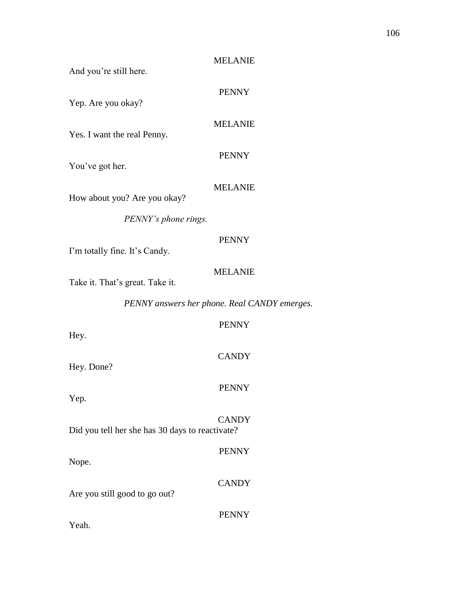| And you're still here.                          | <b>MELANIE</b> |
|-------------------------------------------------|----------------|
| Yep. Are you okay?                              | <b>PENNY</b>   |
| Yes. I want the real Penny.                     | <b>MELANIE</b> |
| You've got her.                                 | <b>PENNY</b>   |
| How about you? Are you okay?                    | <b>MELANIE</b> |
| PENNY's phone rings.                            |                |
| I'm totally fine. It's Candy.                   | <b>PENNY</b>   |
| Take it. That's great. Take it.                 | <b>MELANIE</b> |
| PENNY answers her phone. Real CANDY emerges.    |                |
| Hey.                                            | <b>PENNY</b>   |
| Hey. Done?                                      | <b>CANDY</b>   |
| Yep.                                            | <b>PENNY</b>   |
| Did you tell her she has 30 days to reactivate? | <b>CANDY</b>   |
| Nope.                                           | <b>PENNY</b>   |
| Are you still good to go out?                   | <b>CANDY</b>   |
|                                                 | <b>PENNY</b>   |